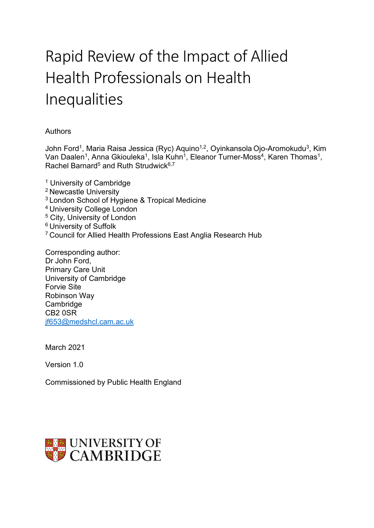# Rapid Review of the Impact of Allied Health Professionals on Health Inequalities

#### Authors

John Ford<sup>1</sup>, Maria Raisa Jessica (Ryc) Aquino<sup>1,2</sup>, Oyinkansola Ojo-Aromokudu<sup>3</sup>, Kim Van Daalen<sup>1</sup>, Anna Gkiouleka<sup>1</sup>, Isla Kuhn<sup>1</sup>, Eleanor Turner-Moss<sup>4</sup>, Karen Thomas<sup>1</sup>, Rachel Barnard<sup>5</sup> and Ruth Strudwick<sup>6,7</sup>

<sup>1</sup> University of Cambridge 2 Newcastle University <sup>3</sup> London School of Hygiene & Tropical Medicine 4 University College London <sup>5</sup> City, University of London 6 University of Suffolk 7 Council for Allied Health Professions East Anglia Research Hub

Corresponding author: Dr John Ford, Primary Care Unit University of Cambridge Forvie Site Robinson Way Cambridge CB2 0SR [jf653@medshcl.cam.ac.uk](mailto:jf653@medshcl.cam.ac.uk)

March 2021

Version 1.0

Commissioned by Public Health England

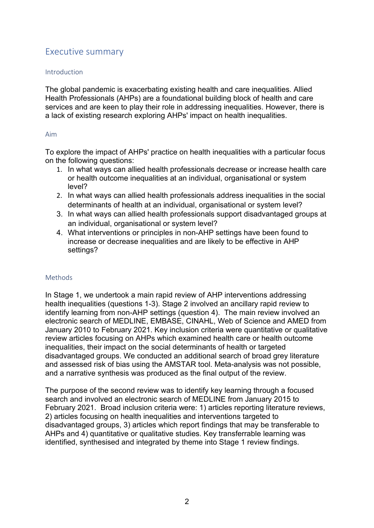## <span id="page-1-0"></span>Executive summary

#### Introduction

The global pandemic is exacerbating existing health and care inequalities. Allied Health Professionals (AHPs) are a foundational building block of health and care services and are keen to play their role in addressing inequalities. However, there is a lack of existing research exploring AHPs' impact on health inequalities.

#### Aim

To explore the impact of AHPs' practice on health inequalities with a particular focus on the following questions:

- 1. In what ways can allied health professionals decrease or increase health care or health outcome inequalities at an individual, organisational or system level?
- 2. In what ways can allied health professionals address inequalities in the social determinants of health at an individual, organisational or system level?
- 3. In what ways can allied health professionals support disadvantaged groups at an individual, organisational or system level?
- 4. What interventions or principles in non-AHP settings have been found to increase or decrease inequalities and are likely to be effective in AHP settings?

#### Methods

In Stage 1, we undertook a main rapid review of AHP interventions addressing health inequalities (questions 1-3). Stage 2 involved an ancillary rapid review to identify learning from non-AHP settings (question 4). The main review involved an electronic search of MEDLINE, EMBASE, CINAHL, Web of Science and AMED from January 2010 to February 2021. Key inclusion criteria were quantitative or qualitative review articles focusing on AHPs which examined health care or health outcome inequalities, their impact on the social determinants of health or targeted disadvantaged groups. We conducted an additional search of broad grey literature and assessed risk of bias using the AMSTAR tool. Meta-analysis was not possible, and a narrative synthesis was produced as the final output of the review.

The purpose of the second review was to identify key learning through a focused search and involved an electronic search of MEDLINE from January 2015 to February 2021. Broad inclusion criteria were: 1) articles reporting literature reviews, 2) articles focusing on health inequalities and interventions targeted to disadvantaged groups, 3) articles which report findings that may be transferable to AHPs and 4) quantitative or qualitative studies. Key transferrable learning was identified, synthesised and integrated by theme into Stage 1 review findings.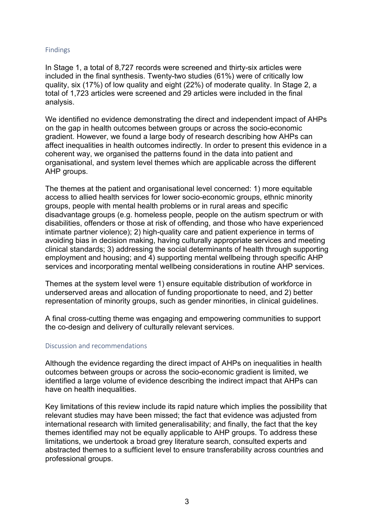#### Findings

In Stage 1, a total of 8,727 records were screened and thirty-six articles were included in the final synthesis. Twenty-two studies (61%) were of critically low quality, six (17%) of low quality and eight (22%) of moderate quality. In Stage 2, a total of 1,723 articles were screened and 29 articles were included in the final analysis.

We identified no evidence demonstrating the direct and independent impact of AHPs on the gap in health outcomes between groups or across the socio-economic gradient. However, we found a large body of research describing how AHPs can affect inequalities in health outcomes indirectly. In order to present this evidence in a coherent way, we organised the patterns found in the data into patient and organisational, and system level themes which are applicable across the different AHP groups.

The themes at the patient and organisational level concerned: 1) more equitable access to allied health services for lower socio-economic groups, ethnic minority groups, people with mental health problems or in rural areas and specific disadvantage groups (e.g. homeless people, people on the autism spectrum or with disabilities, offenders or those at risk of offending, and those who have experienced intimate partner violence); 2) high-quality care and patient experience in terms of avoiding bias in decision making, having culturally appropriate services and meeting clinical standards; 3) addressing the social determinants of health through supporting employment and housing; and 4) supporting mental wellbeing through specific AHP services and incorporating mental wellbeing considerations in routine AHP services.

Themes at the system level were 1) ensure equitable distribution of workforce in underserved areas and allocation of funding proportionate to need, and 2) better representation of minority groups, such as gender minorities, in clinical guidelines.

A final cross-cutting theme was engaging and empowering communities to support the co-design and delivery of culturally relevant services.

#### Discussion and recommendations

Although the evidence regarding the direct impact of AHPs on inequalities in health outcomes between groups or across the socio-economic gradient is limited, we identified a large volume of evidence describing the indirect impact that AHPs can have on health inequalities.

Key limitations of this review include its rapid nature which implies the possibility that relevant studies may have been missed; the fact that evidence was adjusted from international research with limited generalisability; and finally, the fact that the key themes identified may not be equally applicable to AHP groups. To address these limitations, we undertook a broad grey literature search, consulted experts and abstracted themes to a sufficient level to ensure transferability across countries and professional groups.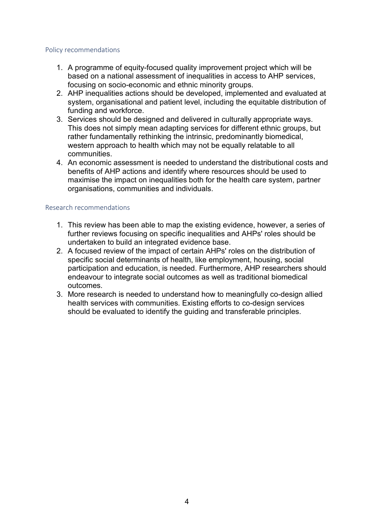#### Policy recommendations

- 1. A programme of equity-focused quality improvement project which will be based on a national assessment of inequalities in access to AHP services, focusing on socio-economic and ethnic minority groups.
- 2. AHP inequalities actions should be developed, implemented and evaluated at system, organisational and patient level, including the equitable distribution of funding and workforce.
- 3. Services should be designed and delivered in culturally appropriate ways. This does not simply mean adapting services for different ethnic groups, but rather fundamentally rethinking the intrinsic, predominantly biomedical, western approach to health which may not be equally relatable to all communities.
- 4. An economic assessment is needed to understand the distributional costs and benefits of AHP actions and identify where resources should be used to maximise the impact on inequalities both for the health care system, partner organisations, communities and individuals.

#### Research recommendations

- 1. This review has been able to map the existing evidence, however, a series of further reviews focusing on specific inequalities and AHPs' roles should be undertaken to build an integrated evidence base.
- 2. A focused review of the impact of certain AHPs' roles on the distribution of specific social determinants of health, like employment, housing, social participation and education, is needed. Furthermore, AHP researchers should endeavour to integrate social outcomes as well as traditional biomedical outcomes.
- 3. More research is needed to understand how to meaningfully co-design allied health services with communities. Existing efforts to co-design services should be evaluated to identify the guiding and transferable principles.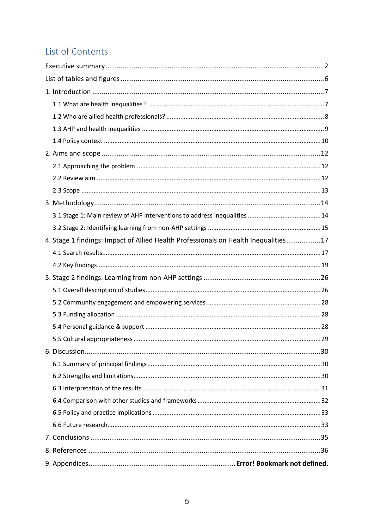## List of Contents

| 4. Stage 1 findings: Impact of Allied Health Professionals on Health Inequalities17 |  |
|-------------------------------------------------------------------------------------|--|
|                                                                                     |  |
|                                                                                     |  |
|                                                                                     |  |
|                                                                                     |  |
|                                                                                     |  |
|                                                                                     |  |
|                                                                                     |  |
|                                                                                     |  |
|                                                                                     |  |
|                                                                                     |  |
|                                                                                     |  |
|                                                                                     |  |
|                                                                                     |  |
|                                                                                     |  |
|                                                                                     |  |
|                                                                                     |  |
|                                                                                     |  |
|                                                                                     |  |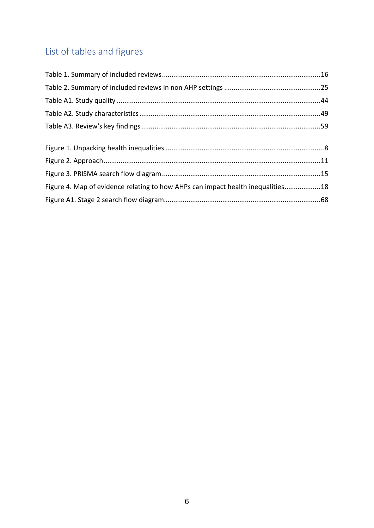## <span id="page-5-0"></span>List of tables and figures

| Figure 4. Map of evidence relating to how AHPs can impact health inequalities18 |  |
|---------------------------------------------------------------------------------|--|
|                                                                                 |  |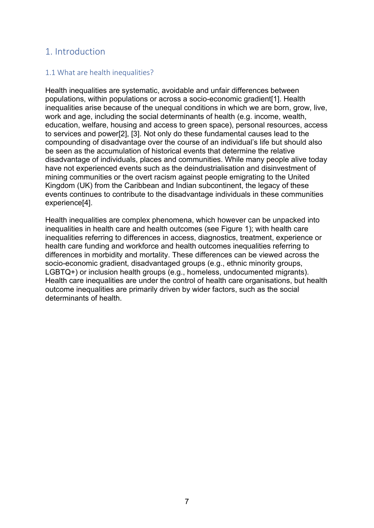## <span id="page-6-0"></span>1. Introduction

#### <span id="page-6-1"></span>1.1 What are health inequalities?

Health inequalities are systematic, avoidable and unfair differences between populations, within populations or across a socio-economic gradient[1]. Health inequalities arise because of the unequal conditions in which we are born, grow, live, work and age, including the social determinants of health (e.g. income, wealth, education, welfare, housing and access to green space), personal resources, access to services and power[2], [3]. Not only do these fundamental causes lead to the compounding of disadvantage over the course of an individual's life but should also be seen as the accumulation of historical events that determine the relative disadvantage of individuals, places and communities. While many people alive today have not experienced events such as the deindustrialisation and disinvestment of mining communities or the overt racism against people emigrating to the United Kingdom (UK) from the Caribbean and Indian subcontinent, the legacy of these events continues to contribute to the disadvantage individuals in these communities experience[4].

Health inequalities are complex phenomena, which however can be unpacked into inequalities in health care and health outcomes (see Figure 1); with health care inequalities referring to differences in access, diagnostics, treatment, experience or health care funding and workforce and health outcomes inequalities referring to differences in morbidity and mortality. These differences can be viewed across the socio-economic gradient, disadvantaged groups (e.g., ethnic minority groups, LGBTQ+) or inclusion health groups (e.g., homeless, undocumented migrants). Health care inequalities are under the control of health care organisations, but health outcome inequalities are primarily driven by wider factors, such as the social determinants of health.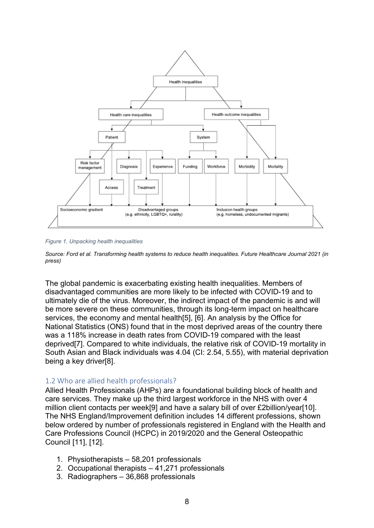

<span id="page-7-1"></span>*Figure 1. Unpacking health inequalities*

*Source: Ford et al. Transforming health systems to reduce health inequalities. Future Healthcare Journal 2021 (in press)*

The global pandemic is exacerbating existing health inequalities. Members of disadvantaged communities are more likely to be infected with COVID-19 and to ultimately die of the virus. Moreover, the indirect impact of the pandemic is and will be more severe on these communities, through its long-term impact on healthcare services, the economy and mental health[5], [6]. An analysis by the Office for National Statistics (ONS) found that in the most deprived areas of the country there was a 118% increase in death rates from COVID-19 compared with the least deprived[7]. Compared to white individuals, the relative risk of COVID-19 mortality in South Asian and Black individuals was 4.04 (CI: 2.54, 5.55), with material deprivation being a key driver[8].

#### <span id="page-7-0"></span>1.2 Who are allied health professionals?

Allied Health Professionals (AHPs) are a foundational building block of health and care services. They make up the third largest workforce in the NHS with over 4 million client contacts per week[9] and have a salary bill of over £2billion/year[10]. The NHS England/Improvement definition includes 14 different professions, shown below ordered by number of professionals registered in England with the Health and Care Professions Council (HCPC) in 2019/2020 and the General Osteopathic Council [11], [12].

- 1. Physiotherapists 58,201 professionals
- 2. Occupational therapists 41,271 professionals
- 3. Radiographers 36,868 professionals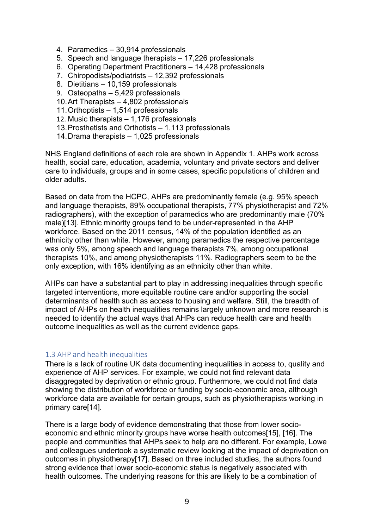- 4. Paramedics 30,914 professionals
- 5. Speech and language therapists 17,226 professionals
- 6. Operating Department Practitioners 14,428 professionals
- 7. Chiropodists/podiatrists 12,392 professionals
- 8. Dietitians 10,159 professionals
- 9. Osteopaths 5,429 professionals
- 10.Art Therapists 4,802 professionals
- 11.Orthoptists 1,514 professionals
- 12. Music therapists 1,176 professionals
- 13.Prosthetists and Orthotists 1,113 professionals
- 14.Drama therapists 1,025 professionals

NHS England definitions of each role are shown in Appendix 1. AHPs work across health, social care, education, academia, voluntary and private sectors and deliver care to individuals, groups and in some cases, specific populations of children and older adults.

Based on data from the HCPC, AHPs are predominantly female (e.g. 95% speech and language therapists, 89% occupational therapists, 77% physiotherapist and 72% radiographers), with the exception of paramedics who are predominantly male (70% male)[13]. Ethnic minority groups tend to be under-represented in the AHP workforce. Based on the 2011 census, 14% of the population identified as an ethnicity other than white. However, among paramedics the respective percentage was only 5%, among speech and language therapists 7%, among occupational therapists 10%, and among physiotherapists 11%. Radiographers seem to be the only exception, with 16% identifying as an ethnicity other than white.

AHPs can have a substantial part to play in addressing inequalities through specific targeted interventions, more equitable routine care and/or supporting the social determinants of health such as access to housing and welfare. Still, the breadth of impact of AHPs on health inequalities remains largely unknown and more research is needed to identify the actual ways that AHPs can reduce health care and health outcome inequalities as well as the current evidence gaps.

#### <span id="page-8-0"></span>1.3 AHP and health inequalities

There is a lack of routine UK data documenting inequalities in access to, quality and experience of AHP services. For example, we could not find relevant data disaggregated by deprivation or ethnic group. Furthermore, we could not find data showing the distribution of workforce or funding by socio-economic area, although workforce data are available for certain groups, such as physiotherapists working in primary care[14].

There is a large body of evidence demonstrating that those from lower socioeconomic and ethnic minority groups have worse health outcomes[15], [16]. The people and communities that AHPs seek to help are no different. For example, Lowe and colleagues undertook a systematic review looking at the impact of deprivation on outcomes in physiotherapy[17]. Based on three included studies, the authors found strong evidence that lower socio-economic status is negatively associated with health outcomes. The underlying reasons for this are likely to be a combination of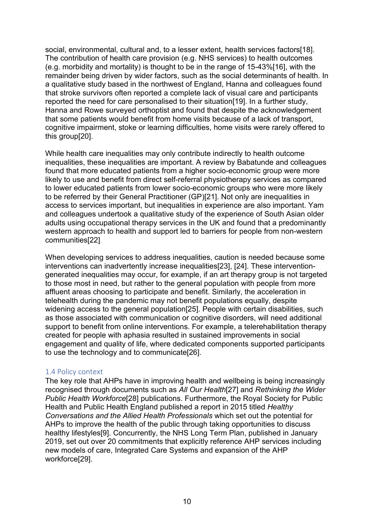social, environmental, cultural and, to a lesser extent, health services factors[18]. The contribution of health care provision (e.g. NHS services) to health outcomes (e.g. morbidity and mortality) is thought to be in the range of 15-43%[16], with the remainder being driven by wider factors, such as the social determinants of health. In a qualitative study based in the northwest of England, Hanna and colleagues found that stroke survivors often reported a complete lack of visual care and participants reported the need for care personalised to their situation[19]. In a further study, Hanna and Rowe surveyed orthoptist and found that despite the acknowledgement that some patients would benefit from home visits because of a lack of transport, cognitive impairment, stoke or learning difficulties, home visits were rarely offered to this group[20].

While health care inequalities may only contribute indirectly to health outcome inequalities, these inequalities are important. A review by Babatunde and colleagues found that more educated patients from a higher socio-economic group were more likely to use and benefit from direct self-referral physiotherapy services as compared to lower educated patients from lower socio-economic groups who were more likely to be referred by their General Practitioner (GP)[21]. Not only are inequalities in access to services important, but inequalities in experience are also important. Yam and colleagues undertook a qualitative study of the experience of South Asian older adults using occupational therapy services in the UK and found that a predominantly western approach to health and support led to barriers for people from non-western communities[22].

When developing services to address inequalities, caution is needed because some interventions can inadvertently increase inequalities[23], [24]. These interventiongenerated inequalities may occur, for example, if an art therapy group is not targeted to those most in need, but rather to the general population with people from more affluent areas choosing to participate and benefit. Similarly, the acceleration in telehealth during the pandemic may not benefit populations equally, despite widening access to the general population[25]. People with certain disabilities, such as those associated with communication or cognitive disorders, will need additional support to benefit from online interventions. For example, a telerehabilitation therapy created for people with aphasia resulted in sustained improvements in social engagement and quality of life, where dedicated components supported participants to use the technology and to communicate[26].

#### <span id="page-9-0"></span>1.4 Policy context

The key role that AHPs have in improving health and wellbeing is being increasingly recognised through documents such as *All Our Health*[27] and *Rethinking the Wider Public Health Workforce*[28] publications. Furthermore, the Royal Society for Public Health and Public Health England published a report in 2015 titled *Healthy Conversations and the Allied Health Professionals* which set out the potential for AHPs to improve the health of the public through taking opportunities to discuss healthy lifestyles[9]. Concurrently, the NHS Long Term Plan, published in January 2019, set out over 20 commitments that explicitly reference AHP services including new models of care, Integrated Care Systems and expansion of the AHP workforce[29].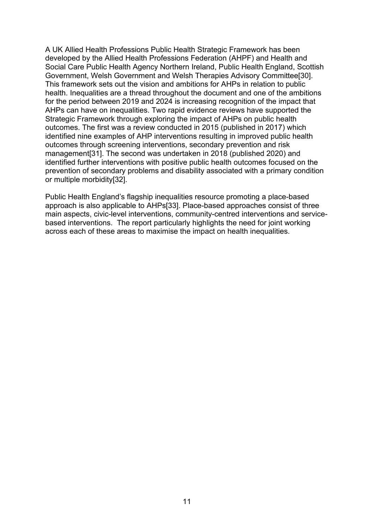A UK Allied Health Professions Public Health Strategic Framework has been developed by the Allied Health Professions Federation (AHPF) and Health and Social Care Public Health Agency Northern Ireland, Public Health England, Scottish Government, Welsh Government and Welsh Therapies Advisory Committee[30]. This framework sets out the vision and ambitions for AHPs in relation to public health. Inequalities are a thread throughout the document and one of the ambitions for the period between 2019 and 2024 is increasing recognition of the impact that AHPs can have on inequalities. Two rapid evidence reviews have supported the Strategic Framework through exploring the impact of AHPs on public health outcomes. The first was a review conducted in 2015 (published in 2017) which identified nine examples of AHP interventions resulting in improved public health outcomes through screening interventions, secondary prevention and risk management[31]. The second was undertaken in 2018 (published 2020) and identified further interventions with positive public health outcomes focused on the prevention of secondary problems and disability associated with a primary condition or multiple morbidity[32].

<span id="page-10-0"></span>Public Health England's flagship inequalities resource promoting a place-based approach is also applicable to AHPs[33]. Place-based approaches consist of three main aspects, civic-level interventions, community-centred interventions and servicebased interventions. The report particularly highlights the need for joint working across each of these areas to maximise the impact on health inequalities.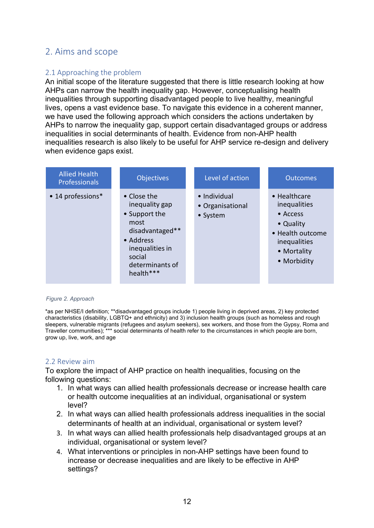## 2. Aims and scope

#### <span id="page-11-0"></span>2.1 Approaching the problem

An initial scope of the literature suggested that there is little research looking at how AHPs can narrow the health inequality gap. However, conceptualising health inequalities through supporting disadvantaged people to live healthy, meaningful lives, opens a vast evidence base. To navigate this evidence in a coherent manner, we have used the following approach which considers the actions undertaken by AHPs to narrow the inequality gap, support certain disadvantaged groups or address inequalities in social determinants of health. Evidence from non-AHP health inequalities research is also likely to be useful for AHP service re-design and delivery when evidence gaps exist.

| <b>Allied Health</b><br><b>Professionals</b> | <b>Objectives</b>                                                                                                                                   | Level of action                              | <b>Outcomes</b>                                                                                                                 |
|----------------------------------------------|-----------------------------------------------------------------------------------------------------------------------------------------------------|----------------------------------------------|---------------------------------------------------------------------------------------------------------------------------------|
| • 14 professions*                            | • Close the<br>inequality gap<br>• Support the<br>most<br>disadvantaged**<br>• Address<br>inequalities in<br>social<br>determinants of<br>health*** | • Individual<br>• Organisational<br>• System | • Healthcare<br>inequalities<br>$\bullet$ Access<br>• Quality<br>• Health outcome<br>inequalities<br>• Mortality<br>• Morbidity |

#### <span id="page-11-2"></span>*Figure 2. Approach*

\*as per NHSE/I definition; \*\*disadvantaged groups include 1) people living in deprived areas, 2) key protected characteristics (disability, LGBTQ+ and ethnicity) and 3) inclusion health groups (such as homeless and rough sleepers, vulnerable migrants (refugees and asylum seekers), sex workers, and those from the Gypsy, Roma and Traveller communities); \*\*\* social determinants of health refer to the circumstances in which people are born, grow up, live, work, and age

#### <span id="page-11-1"></span>2.2 Review aim

To explore the impact of AHP practice on health inequalities, focusing on the following questions:

- 1. In what ways can allied health professionals decrease or increase health care or health outcome inequalities at an individual, organisational or system level?
- 2. In what ways can allied health professionals address inequalities in the social determinants of health at an individual, organisational or system level?
- 3. In what ways can allied health professionals help disadvantaged groups at an individual, organisational or system level?
- 4. What interventions or principles in non-AHP settings have been found to increase or decrease inequalities and are likely to be effective in AHP settings?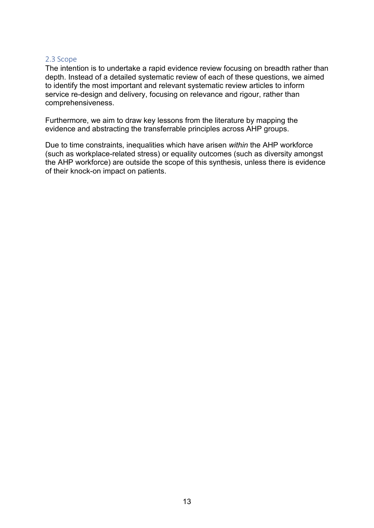#### <span id="page-12-0"></span>2.3 Scope

The intention is to undertake a rapid evidence review focusing on breadth rather than depth. Instead of a detailed systematic review of each of these questions, we aimed to identify the most important and relevant systematic review articles to inform service re-design and delivery, focusing on relevance and rigour, rather than comprehensiveness.

Furthermore, we aim to draw key lessons from the literature by mapping the evidence and abstracting the transferrable principles across AHP groups.

<span id="page-12-1"></span>Due to time constraints, inequalities which have arisen *within* the AHP workforce (such as workplace-related stress) or equality outcomes (such as diversity amongst the AHP workforce) are outside the scope of this synthesis, unless there is evidence of their knock-on impact on patients.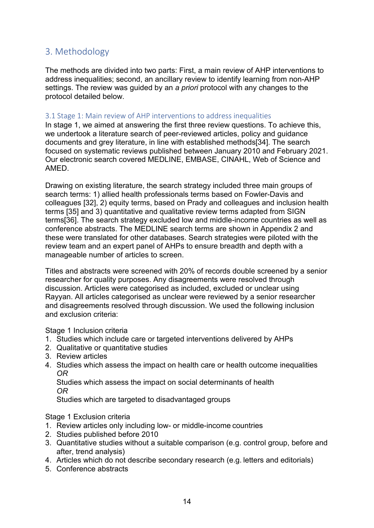## 3. Methodology

The methods are divided into two parts: First, a main review of AHP interventions to address inequalities; second, an ancillary review to identify learning from non-AHP settings. The review was guided by an *a priori* protocol with any changes to the protocol detailed below.

#### <span id="page-13-0"></span>3.1 Stage 1: Main review of AHP interventions to address inequalities

In stage 1, we aimed at answering the first three review questions. To achieve this, we undertook a literature search of peer-reviewed articles, policy and guidance documents and grey literature, in line with established methods[34]. The search focused on systematic reviews published between January 2010 and February 2021. Our electronic search covered MEDLINE, EMBASE, CINAHL, Web of Science and AMED.

Drawing on existing literature, the search strategy included three main groups of search terms: 1) allied health professionals terms based on Fowler-Davis and colleagues [32], 2) equity terms, based on Prady and colleagues and inclusion health terms [35] and 3) quantitative and qualitative review terms adapted from SIGN terms[36]. The search strategy excluded low and middle-income countries as well as conference abstracts. The MEDLINE search terms are shown in Appendix 2 and these were translated for other databases. Search strategies were piloted with the review team and an expert panel of AHPs to ensure breadth and depth with a manageable number of articles to screen.

Titles and abstracts were screened with 20% of records double screened by a senior researcher for quality purposes. Any disagreements were resolved through discussion. Articles were categorised as included, excluded or unclear using Rayyan. All articles categorised as unclear were reviewed by a senior researcher and disagreements resolved through discussion. We used the following inclusion and exclusion criteria:

Stage 1 Inclusion criteria 

- 1. Studies which include care or targeted interventions delivered by AHPs
- 2. Qualitative or quantitative studies
- 3. Review articles
- 4. Studies which assess the impact on health care or health outcome inequalities  *OR*

Studies which assess the impact on social determinants of health *OR*

Studies which are targeted to disadvantaged groups

Stage 1 Exclusion criteria 

- 1. Review articles only including low- or middle-income countries
- 2. Studies published before 2010
- 3. Quantitative studies without a suitable comparison (e.g. control group, before and after, trend analysis)
- 4. Articles which do not describe secondary research (e.g. letters and editorials)
- 5. Conference abstracts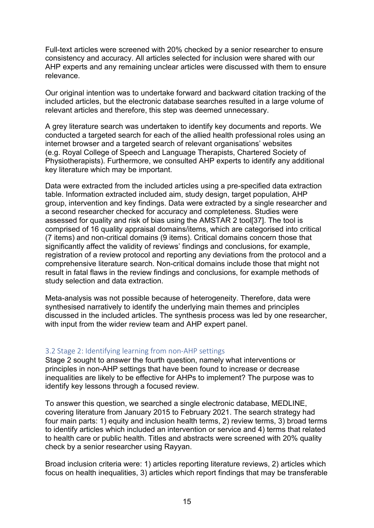Full-text articles were screened with 20% checked by a senior researcher to ensure consistency and accuracy. All articles selected for inclusion were shared with our AHP experts and any remaining unclear articles were discussed with them to ensure relevance.

Our original intention was to undertake forward and backward citation tracking of the included articles, but the electronic database searches resulted in a large volume of relevant articles and therefore, this step was deemed unnecessary.

A grey literature search was undertaken to identify key documents and reports. We conducted a targeted search for each of the allied health professional roles using an internet browser and a targeted search of relevant organisations' websites (e.g. Royal College of Speech and Language Therapists, Chartered Society of Physiotherapists). Furthermore, we consulted AHP experts to identify any additional key literature which may be important.

Data were extracted from the included articles using a pre-specified data extraction table. Information extracted included aim, study design, target population, AHP group, intervention and key findings. Data were extracted by a single researcher and a second researcher checked for accuracy and completeness. Studies were assessed for quality and risk of bias using the AMSTAR 2 tool[37]. The tool is comprised of 16 quality appraisal domains/items, which are categorised into critical (7 items) and non-critical domains (9 items). Critical domains concern those that significantly affect the validity of reviews' findings and conclusions, for example, registration of a review protocol and reporting any deviations from the protocol and a comprehensive literature search. Non-critical domains include those that might not result in fatal flaws in the review findings and conclusions, for example methods of study selection and data extraction.

Meta-analysis was not possible because of heterogeneity. Therefore, data were synthesised narratively to identify the underlying main themes and principles discussed in the included articles. The synthesis process was led by one researcher, with input from the wider review team and AHP expert panel.

#### <span id="page-14-0"></span>3.2 Stage 2: Identifying learning from non-AHP settings

Stage 2 sought to answer the fourth question, namely what interventions or principles in non-AHP settings that have been found to increase or decrease inequalities are likely to be effective for AHPs to implement? The purpose was to identify key lessons through a focused review.

To answer this question, we searched a single electronic database, MEDLINE, covering literature from January 2015 to February 2021. The search strategy had four main parts: 1) equity and inclusion health terms, 2) review terms, 3) broad terms to identify articles which included an intervention or service and 4) terms that related to health care or public health. Titles and abstracts were screened with 20% quality check by a senior researcher using Rayyan.

Broad inclusion criteria were: 1) articles reporting literature reviews, 2) articles which focus on health inequalities, 3) articles which report findings that may be transferable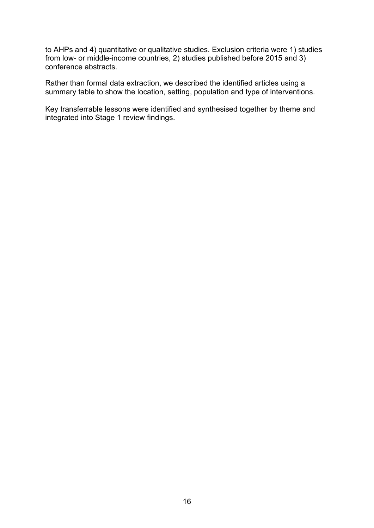to AHPs and 4) quantitative or qualitative studies. Exclusion criteria were 1) studies from low- or middle-income countries, 2) studies published before 2015 and 3) conference abstracts.

Rather than formal data extraction, we described the identified articles using a summary table to show the location, setting, population and type of interventions.

<span id="page-15-0"></span>Key transferrable lessons were identified and synthesised together by theme and integrated into Stage 1 review findings.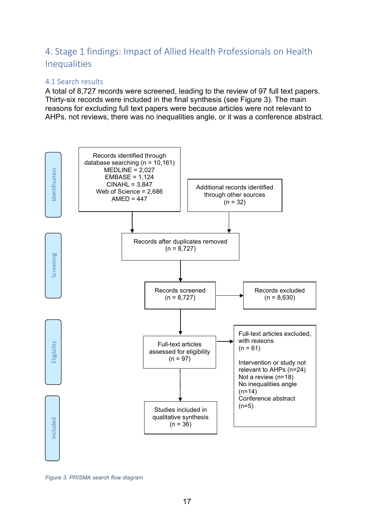## 4. Stage 1 findings: Impact of Allied Health Professionals on Health Inequalities

#### <span id="page-16-0"></span>4.1 Search results

A total of 8,727 records were screened, leading to the review of 97 full text papers. Thirty-six records were included in the final synthesis (see Figure 3). The main reasons for excluding full text papers were because articles were not relevant to AHPs, not reviews, there was no inequalities angle, or it was a conference abstract.



<span id="page-16-1"></span>*Figure 3. PRISMA search flow diagram*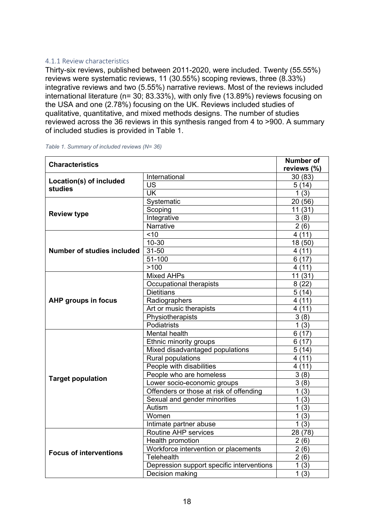#### 4.1.1 Review characteristics

Thirty-six reviews, published between 2011-2020, were included. Twenty (55.55%) reviews were systematic reviews, 11 (30.55%) scoping reviews, three (8.33%) integrative reviews and two (5.55%) narrative reviews. Most of the reviews included international literature (n= 30; 83.33%), with only five (13.89%) reviews focusing on the USA and one (2.78%) focusing on the UK. Reviews included studies of qualitative, quantitative, and mixed methods designs. The number of studies reviewed across the 36 reviews in this synthesis ranged from 4 to >900. A summary of included studies is provided in Table 1.

| <b>Characteristics</b>            |                                           | <b>Number of</b> |
|-----------------------------------|-------------------------------------------|------------------|
|                                   |                                           | reviews (%)      |
| Location(s) of included           | International                             | 30(83)           |
| <b>studies</b>                    | US                                        | 5(14)            |
|                                   | UK                                        | 1(3)             |
|                                   | Systematic                                | 20 (56)          |
|                                   | Scoping                                   | 11(31)           |
| <b>Review type</b>                | Integrative                               | 3(8)             |
|                                   | <b>Narrative</b>                          | 2(6)             |
|                                   | ~10                                       | 4(11)            |
|                                   | $10 - 30$                                 | 18 (50)          |
| <b>Number of studies included</b> | 31-50                                     | 4(11)            |
|                                   | $51 - 100$                                | 6(17)            |
|                                   | >100                                      | 4(11)            |
|                                   | <b>Mixed AHPs</b>                         | 11(31)           |
|                                   | Occupational therapists                   | 8(22)            |
|                                   | <b>Dietitians</b>                         | 5(14)            |
| <b>AHP groups in focus</b>        | Radiographers                             | 4(11)            |
|                                   | Art or music therapists                   | 4(11)            |
|                                   | Physiotherapists                          | 3(8)             |
|                                   | Podiatrists                               | 1(3)             |
|                                   | Mental health                             | 6(17)            |
|                                   | Ethnic minority groups                    | 6(17)            |
|                                   | Mixed disadvantaged populations           | 5(14)            |
|                                   | Rural populations                         | 4(11)            |
|                                   | People with disabilities                  | 4(11)            |
|                                   | People who are homeless                   | 3(8)             |
| <b>Target population</b>          | Lower socio-economic groups               | 3(8)             |
|                                   | Offenders or those at risk of offending   | 1(3)             |
|                                   | Sexual and gender minorities              | 1(3)             |
|                                   | Autism                                    | 1(3)             |
|                                   | Women                                     | 1(3)             |
|                                   | Intimate partner abuse                    | 1(3)             |
|                                   | Routine AHP services                      | 28 (78)          |
|                                   | Health promotion                          | 2(6)             |
| <b>Focus of interventions</b>     | Workforce intervention or placements      | 2(6)             |
|                                   | <b>Telehealth</b>                         | 2(6)             |
|                                   | Depression support specific interventions | 1(3)             |
|                                   | Decision making                           | 1(3)             |

<span id="page-17-0"></span>*Table 1. Summary of included reviews (N= 36)*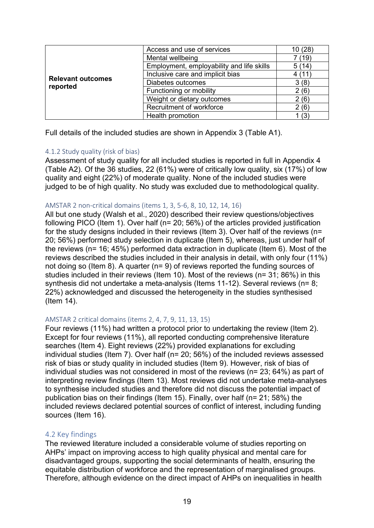|                                      | Access and use of services                | 10 (28) |
|--------------------------------------|-------------------------------------------|---------|
|                                      | Mental wellbeing                          | 7 (19)  |
|                                      | Employment, employability and life skills | 5(14)   |
|                                      | Inclusive care and implicit bias          | 4(11)   |
| <b>Relevant outcomes</b><br>reported | Diabetes outcomes                         | 3(8)    |
|                                      | Functioning or mobility                   | 2(6)    |
|                                      | Weight or dietary outcomes                | 2(6)    |
|                                      | Recruitment of workforce                  | 2(6)    |
|                                      | Health promotion                          | l (3)   |

Full details of the included studies are shown in Appendix 3 (Table A1).

#### 4.1.2 Study quality (risk of bias)

Assessment of study quality for all included studies is reported in full in Appendix 4 (Table A2). Of the 36 studies, 22 (61%) were of critically low quality, six (17%) of low quality and eight (22%) of moderate quality. None of the included studies were judged to be of high quality. No study was excluded due to methodological quality.

#### AMSTAR 2 non-critical domains (items 1, 3, 5-6, 8, 10, 12, 14, 16)

All but one study (Walsh et al., 2020) described their review questions/objectives following PICO (Item 1). Over half (n= 20; 56%) of the articles provided justification for the study designs included in their reviews (Item 3). Over half of the reviews (n= 20; 56%) performed study selection in duplicate (Item 5), whereas, just under half of the reviews (n= 16; 45%) performed data extraction in duplicate (Item 6). Most of the reviews described the studies included in their analysis in detail, with only four (11%) not doing so (Item 8). A quarter (n= 9) of reviews reported the funding sources of studies included in their reviews (Item 10). Most of the reviews (n= 31; 86%) in this synthesis did not undertake a meta-analysis (Items 11-12). Several reviews (n= 8; 22%) acknowledged and discussed the heterogeneity in the studies synthesised (Item 14).

#### AMSTAR 2 critical domains (items 2, 4, 7, 9, 11, 13, 15)

Four reviews (11%) had written a protocol prior to undertaking the review (Item 2). Except for four reviews (11%), all reported conducting comprehensive literature searches (Item 4). Eight reviews (22%) provided explanations for excluding individual studies (Item 7). Over half (n= 20; 56%) of the included reviews assessed risk of bias or study quality in included studies (Item 9). However, risk of bias of individual studies was not considered in most of the reviews (n= 23; 64%) as part of interpreting review findings (Item 13). Most reviews did not undertake meta-analyses to synthesise included studies and therefore did not discuss the potential impact of publication bias on their findings (Item 15). Finally, over half (n= 21; 58%) the included reviews declared potential sources of conflict of interest, including funding sources (Item 16).

#### <span id="page-18-0"></span>4.2 Key findings

The reviewed literature included a considerable volume of studies reporting on AHPs' impact on improving access to high quality physical and mental care for disadvantaged groups, supporting the social determinants of health, ensuring the equitable distribution of workforce and the representation of marginalised groups. Therefore, although evidence on the direct impact of AHPs on inequalities in health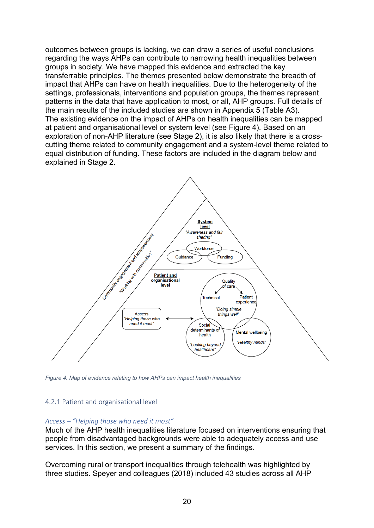outcomes between groups is lacking, we can draw a series of useful conclusions regarding the ways AHPs can contribute to narrowing health inequalities between groups in society. We have mapped this evidence and extracted the key transferrable principles. The themes presented below demonstrate the breadth of impact that AHPs can have on health inequalities. Due to the heterogeneity of the settings, professionals, interventions and population groups, the themes represent patterns in the data that have application to most, or all, AHP groups. Full details of the main results of the included studies are shown in Appendix 5 (Table A3). The existing evidence on the impact of AHPs on health inequalities can be mapped at patient and organisational level or system level (see Figure 4). Based on an exploration of non-AHP literature (see Stage 2), it is also likely that there is a crosscutting theme related to community engagement and a system-level theme related to equal distribution of funding. These factors are included in the diagram below and explained in Stage 2.



<span id="page-19-0"></span>*Figure 4. Map of evidence relating to how AHPs can impact health inequalities*

#### 4.2.1 Patient and organisational level

#### *Access – "Helping those who need it most"*

Much of the AHP health inequalities literature focused on interventions ensuring that people from disadvantaged backgrounds were able to adequately access and use services. In this section, we present a summary of the findings.

Overcoming rural or transport inequalities through telehealth was highlighted by three studies. Speyer and colleagues (2018) included 43 studies across all AHP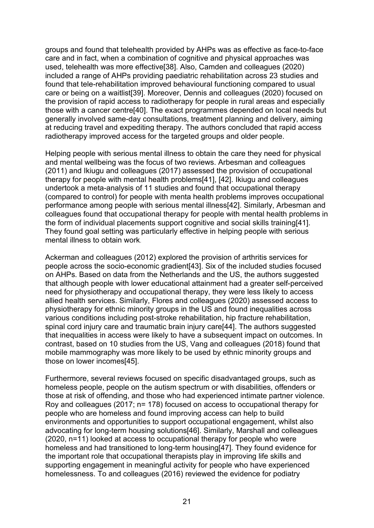groups and found that telehealth provided by AHPs was as effective as face-to-face care and in fact, when a combination of cognitive and physical approaches was used, telehealth was more effective[38]. Also, Camden and colleagues (2020) included a range of AHPs providing paediatric rehabilitation across 23 studies and found that tele-rehabilitation improved behavioural functioning compared to usual care or being on a waitlist[39]. Moreover, Dennis and colleagues (2020) focused on the provision of rapid access to radiotherapy for people in rural areas and especially those with a cancer centre[40]. The exact programmes depended on local needs but generally involved same-day consultations, treatment planning and delivery, aiming at reducing travel and expediting therapy. The authors concluded that rapid access radiotherapy improved access for the targeted groups and older people.

Helping people with serious mental illness to obtain the care they need for physical and mental wellbeing was the focus of two reviews. Arbesman and colleagues (2011) and Ikiugu and colleagues (2017) assessed the provision of occupational therapy for people with mental health problems[41], [42]. Ikiugu and colleagues undertook a meta-analysis of 11 studies and found that occupational therapy (compared to control) for people with menta health problems improves occupational performance among people with serious mental illness[42]. Similarly, Arbesman and colleagues found that occupational therapy for people with mental health problems in the form of individual placements support cognitive and social skills training[41]. They found goal setting was particularly effective in helping people with serious mental illness to obtain work.

Ackerman and colleagues (2012) explored the provision of arthritis services for people across the socio-economic gradient[43]. Six of the included studies focused on AHPs. Based on data from the Netherlands and the US, the authors suggested that although people with lower educational attainment had a greater self-perceived need for physiotherapy and occupational therapy, they were less likely to access allied health services. Similarly, Flores and colleagues (2020) assessed access to physiotherapy for ethnic minority groups in the US and found inequalities across various conditions including post-stroke rehabilitation, hip fracture rehabilitation, spinal cord injury care and traumatic brain injury care[44]. The authors suggested that inequalities in access were likely to have a subsequent impact on outcomes. In contrast, based on 10 studies from the US, Vang and colleagues (2018) found that mobile mammography was more likely to be used by ethnic minority groups and those on lower incomes[45].

Furthermore, several reviews focused on specific disadvantaged groups, such as homeless people, people on the autism spectrum or with disabilities, offenders or those at risk of offending, and those who had experienced intimate partner violence. Roy and colleagues (2017; n= 178) focused on access to occupational therapy for people who are homeless and found improving access can help to build environments and opportunities to support occupational engagement, whilst also advocating for long-term housing solutions[46]. Similarly, Marshall and colleagues (2020, n=11) looked at access to occupational therapy for people who were homeless and had transitioned to long-term housing[47]. They found evidence for the important role that occupational therapists play in improving life skills and supporting engagement in meaningful activity for people who have experienced homelessness. To and colleagues (2016) reviewed the evidence for podiatry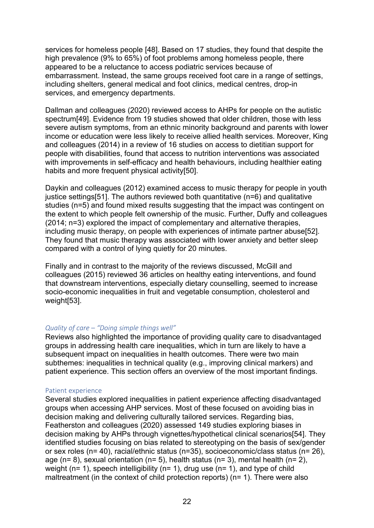services for homeless people [48]. Based on 17 studies, they found that despite the high prevalence (9% to 65%) of foot problems among homeless people, there appeared to be a reluctance to access podiatric services because of embarrassment. Instead, the same groups received foot care in a range of settings, including shelters, general medical and foot clinics, medical centres, drop-in services, and emergency departments.

Dallman and colleagues (2020) reviewed access to AHPs for people on the autistic spectrum[49]. Evidence from 19 studies showed that older children, those with less severe autism symptoms, from an ethnic minority background and parents with lower income or education were less likely to receive allied health services. Moreover, King and colleagues (2014) in a review of 16 studies on access to dietitian support for people with disabilities, found that access to nutrition interventions was associated with improvements in self-efficacy and health behaviours, including healthier eating habits and more frequent physical activity[50].

Daykin and colleagues (2012) examined access to music therapy for people in youth justice settings[51]. The authors reviewed both quantitative (n=6) and qualitative studies (n=5) and found mixed results suggesting that the impact was contingent on the extent to which people felt ownership of the music. Further, Duffy and colleagues (2014; n=3) explored the impact of complementary and alternative therapies, including music therapy, on people with experiences of intimate partner abuse[52]. They found that music therapy was associated with lower anxiety and better sleep compared with a control of lying quietly for 20 minutes.

Finally and in contrast to the majority of the reviews discussed, McGill and colleagues (2015) reviewed 36 articles on healthy eating interventions, and found that downstream interventions, especially dietary counselling, seemed to increase socio-economic inequalities in fruit and vegetable consumption, cholesterol and weight[53].

#### *Quality of care – "Doing simple things well"*

Reviews also highlighted the importance of providing quality care to disadvantaged groups in addressing health care inequalities, which in turn are likely to have a subsequent impact on inequalities in health outcomes. There were two main subthemes: inequalities in technical quality (e.g., improving clinical markers) and patient experience. This section offers an overview of the most important findings.

#### Patient experience

Several studies explored inequalities in patient experience affecting disadvantaged groups when accessing AHP services. Most of these focused on avoiding bias in decision making and delivering culturally tailored services. Regarding bias, Featherston and colleagues (2020) assessed 149 studies exploring biases in decision making by AHPs through vignettes/hypothetical clinical scenarios[54]. They identified studies focusing on bias related to stereotyping on the basis of sex/gender or sex roles (n= 40), racial/ethnic status (n=35), socioeconomic/class status (n= 26), age (n= 8), sexual orientation (n= 5), health status (n= 3), mental health (n= 2), weight ( $n= 1$ ), speech intelligibility ( $n= 1$ ), drug use ( $n= 1$ ), and type of child maltreatment (in the context of child protection reports) (n= 1). There were also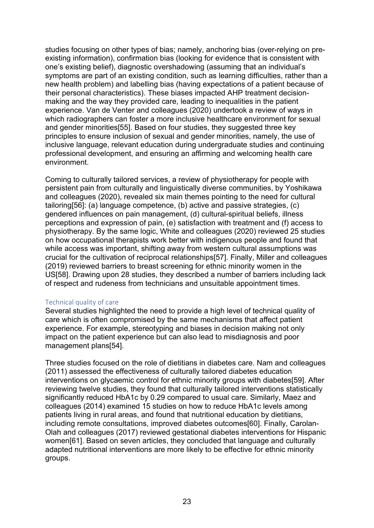studies focusing on other types of bias; namely, anchoring bias (over-relying on preexisting information), confirmation bias (looking for evidence that is consistent with one's existing belief), diagnostic overshadowing (assuming that an individual's symptoms are part of an existing condition, such as learning difficulties, rather than a new health problem) and labelling bias (having expectations of a patient because of their personal characteristics). These biases impacted AHP treatment decisionmaking and the way they provided care, leading to inequalities in the patient experience. Van de Venter and colleagues (2020) undertook a review of ways in which radiographers can foster a more inclusive healthcare environment for sexual and gender minorities[55]. Based on four studies, they suggested three key principles to ensure inclusion of sexual and gender minorities, namely, the use of inclusive language, relevant education during undergraduate studies and continuing professional development, and ensuring an affirming and welcoming health care environment.

Coming to culturally tailored services, a review of physiotherapy for people with persistent pain from culturally and linguistically diverse communities, by Yoshikawa and colleagues (2020), revealed six main themes pointing to the need for cultural tailoring[56]: (a) language competence, (b) active and passive strategies, (c) gendered influences on pain management, (d) cultural-spiritual beliefs, illness perceptions and expression of pain, (e) satisfaction with treatment and (f) access to physiotherapy. By the same logic, White and colleagues (2020) reviewed 25 studies on how occupational therapists work better with indigenous people and found that while access was important, shifting away from western cultural assumptions was crucial for the cultivation of reciprocal relationships[57]. Finally, Miller and colleagues (2019) reviewed barriers to breast screening for ethnic minority women in the US[58]. Drawing upon 28 studies, they described a number of barriers including lack of respect and rudeness from technicians and unsuitable appointment times.

#### Technical quality of care

Several studies highlighted the need to provide a high level of technical quality of care which is often compromised by the same mechanisms that affect patient experience. For example, stereotyping and biases in decision making not only impact on the patient experience but can also lead to misdiagnosis and poor management plans[54].

Three studies focused on the role of dietitians in diabetes care. Nam and colleagues (2011) assessed the effectiveness of culturally tailored diabetes education interventions on glycaemic control for ethnic minority groups with diabetes[59]. After reviewing twelve studies, they found that culturally tailored interventions statistically significantly reduced HbA1c by 0.29 compared to usual care. Similarly, Maez and colleagues (2014) examined 15 studies on how to reduce HbA1c levels among patients living in rural areas, and found that nutritional education by dietitians, including remote consultations, improved diabetes outcomes[60]. Finally, Carolan-Olah and colleagues (2017) reviewed gestational diabetes interventions for Hispanic women[61]. Based on seven articles, they concluded that language and culturally adapted nutritional interventions are more likely to be effective for ethnic minority groups.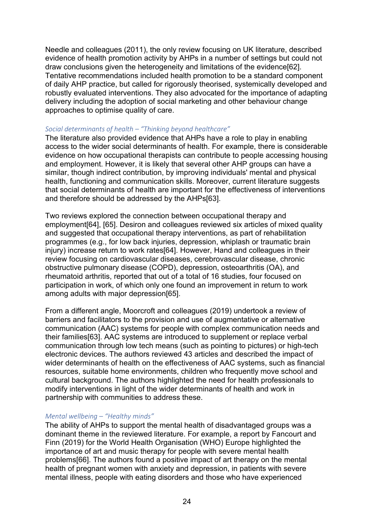Needle and colleagues (2011), the only review focusing on UK literature, described evidence of health promotion activity by AHPs in a number of settings but could not draw conclusions given the heterogeneity and limitations of the evidence[62]. Tentative recommendations included health promotion to be a standard component of daily AHP practice, but called for rigorously theorised, systemically developed and robustly evaluated interventions. They also advocated for the importance of adapting delivery including the adoption of social marketing and other behaviour change approaches to optimise quality of care.

#### *Social determinants of health – "Thinking beyond healthcare"*

The literature also provided evidence that AHPs have a role to play in enabling access to the wider social determinants of health. For example, there is considerable evidence on how occupational therapists can contribute to people accessing housing and employment. However, it is likely that several other AHP groups can have a similar, though indirect contribution, by improving individuals' mental and physical health, functioning and communication skills. Moreover, current literature suggests that social determinants of health are important for the effectiveness of interventions and therefore should be addressed by the AHPs[63].

Two reviews explored the connection between occupational therapy and employment[64], [65]. Desiron and colleagues reviewed six articles of mixed quality and suggested that occupational therapy interventions, as part of rehabilitation programmes (e.g., for low back injuries, depression, whiplash or traumatic brain injury) increase return to work rates[64]. However, Hand and colleagues in their review focusing on cardiovascular diseases, cerebrovascular disease, chronic obstructive pulmonary disease (COPD), depression, osteoarthritis (OA), and rheumatoid arthritis, reported that out of a total of 16 studies, four focused on participation in work, of which only one found an improvement in return to work among adults with major depression[65].

From a different angle, Moorcroft and colleagues (2019) undertook a review of barriers and facilitators to the provision and use of augmentative or alternative communication (AAC) systems for people with complex communication needs and their families[63]. AAC systems are introduced to supplement or replace verbal communication through low tech means (such as pointing to pictures) or high-tech electronic devices. The authors reviewed 43 articles and described the impact of wider determinants of health on the effectiveness of AAC systems, such as financial resources, suitable home environments, children who frequently move school and cultural background. The authors highlighted the need for health professionals to modify interventions in light of the wider determinants of health and work in partnership with communities to address these.

#### *Mental wellbeing – "Healthy minds"*

The ability of AHPs to support the mental health of disadvantaged groups was a dominant theme in the reviewed literature. For example, a report by Fancourt and Finn (2019) for the World Health Organisation (WHO) Europe highlighted the importance of art and music therapy for people with severe mental health problems[66]. The authors found a positive impact of art therapy on the mental health of pregnant women with anxiety and depression, in patients with severe mental illness, people with eating disorders and those who have experienced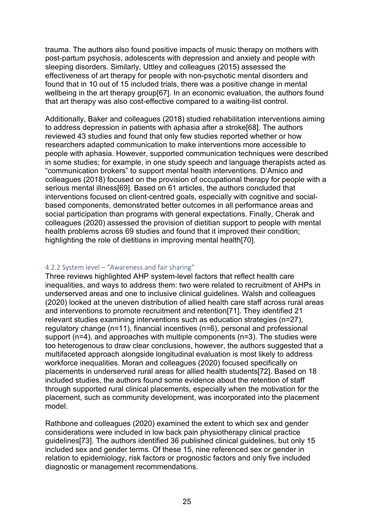trauma. The authors also found positive impacts of music therapy on mothers with post-partum psychosis, adolescents with depression and anxiety and people with sleeping disorders. Similarly, Uttley and colleagues (2015) assessed the effectiveness of art therapy for people with non-psychotic mental disorders and found that in 10 out of 15 included trials, there was a positive change in mental wellbeing in the art therapy group[67]. In an economic evaluation, the authors found that art therapy was also cost-effective compared to a waiting-list control.

Additionally, Baker and colleagues (2018) studied rehabilitation interventions aiming to address depression in patients with aphasia after a stroke[68]. The authors reviewed 43 studies and found that only few studies reported whether or how researchers adapted communication to make interventions more accessible to people with aphasia. However, supported communication techniques were described in some studies; for example, in one study speech and language therapists acted as "communication brokers" to support mental health interventions. D'Amico and colleagues (2018) focused on the provision of occupational therapy for people with a serious mental illness[69]. Based on 61 articles, the authors concluded that interventions focused on client-centred goals, especially with cognitive and socialbased components, demonstrated better outcomes in all performance areas and social participation than programs with general expectations. Finally, Cherak and colleagues (2020) assessed the provision of dietitian support to people with mental health problems across 69 studies and found that it improved their condition; highlighting the role of dietitians in improving mental health[70].

#### 4.2.2 System level – "Awareness and fair sharing"

Three reviews highlighted AHP system-level factors that reflect health care inequalities, and ways to address them: two were related to recruitment of AHPs in underserved areas and one to inclusive clinical guidelines. Walsh and colleagues (2020) looked at the uneven distribution of allied health care staff across rural areas and interventions to promote recruitment and retention[71]. They identified 21 relevant studies examining interventions such as education strategies (n=27), regulatory change (n=11), financial incentives (n=6), personal and professional support (n=4), and approaches with multiple components (n=3). The studies were too heterogenous to draw clear conclusions, however, the authors suggested that a multifaceted approach alongside longitudinal evaluation is most likely to address workforce inequalities. Moran and colleagues (2020) focused specifically on placements in underserved rural areas for allied health students[72]. Based on 18 included studies, the authors found some evidence about the retention of staff through supported rural clinical placements, especially when the motivation for the placement, such as community development, was incorporated into the placement model.

Rathbone and colleagues (2020) examined the extent to which sex and gender considerations were included in low back pain physiotherapy clinical practice guidelines[73]. The authors identified 36 published clinical guidelines, but only 15 included sex and gender terms. Of these 15, nine referenced sex or gender in relation to epidemiology, risk factors or prognostic factors and only five included diagnostic or management recommendations.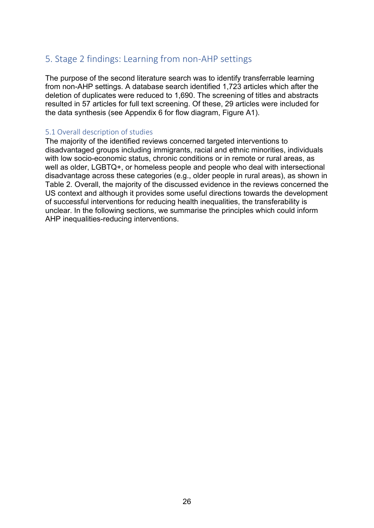## <span id="page-25-0"></span>5. Stage 2 findings: Learning from non-AHP settings

The purpose of the second literature search was to identify transferrable learning from non-AHP settings. A database search identified 1,723 articles which after the deletion of duplicates were reduced to 1,690. The screening of titles and abstracts resulted in 57 articles for full text screening. Of these, 29 articles were included for the data synthesis (see Appendix 6 for flow diagram, Figure A1).

#### <span id="page-25-1"></span>5.1 Overall description of studies

The majority of the identified reviews concerned targeted interventions to disadvantaged groups including immigrants, racial and ethnic minorities, individuals with low socio-economic status, chronic conditions or in remote or rural areas, as well as older, LGBTQ+, or homeless people and people who deal with intersectional disadvantage across these categories (e.g., older people in rural areas), as shown in Table 2. Overall, the majority of the discussed evidence in the reviews concerned the US context and although it provides some useful directions towards the development of successful interventions for reducing health inequalities, the transferability is unclear. In the following sections, we summarise the principles which could inform AHP inequalities-reducing interventions.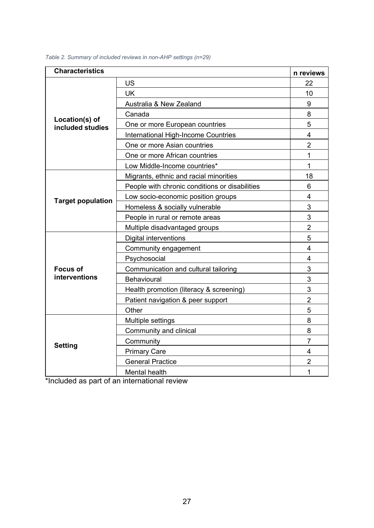| <b>Characteristics</b>             |                                                | n reviews               |
|------------------------------------|------------------------------------------------|-------------------------|
|                                    | US                                             | 22                      |
|                                    | <b>UK</b>                                      | 10                      |
|                                    | Australia & New Zealand                        | 9                       |
|                                    | Canada                                         | 8                       |
| Location(s) of<br>included studies | One or more European countries                 | 5                       |
|                                    | <b>International High-Income Countries</b>     | $\overline{\mathbf{4}}$ |
|                                    | One or more Asian countries                    | $\overline{2}$          |
|                                    | One or more African countries                  | 1                       |
|                                    | Low Middle-Income countries*                   | 1                       |
|                                    | Migrants, ethnic and racial minorities         | 18                      |
|                                    | People with chronic conditions or disabilities | 6                       |
| <b>Target population</b>           | Low socio-economic position groups             | 4                       |
|                                    | Homeless & socially vulnerable                 | 3                       |
|                                    | People in rural or remote areas                | 3                       |
|                                    | Multiple disadvantaged groups                  | $\overline{2}$          |
|                                    | <b>Digital interventions</b>                   | 5                       |
|                                    | Community engagement                           | $\overline{4}$          |
|                                    | Psychosocial                                   | $\overline{4}$          |
| <b>Focus of</b>                    | Communication and cultural tailoring           | 3                       |
| <b>interventions</b>               | Behavioural                                    | 3                       |
|                                    | Health promotion (literacy & screening)        | 3                       |
|                                    | Patient navigation & peer support              | $\overline{2}$          |
|                                    | Other                                          | 5                       |
|                                    | Multiple settings                              | 8                       |
| <b>Setting</b>                     | Community and clinical                         | 8                       |
|                                    | Community                                      | $\overline{7}$          |
|                                    | <b>Primary Care</b>                            | 4                       |
|                                    | <b>General Practice</b>                        | $\overline{2}$          |
|                                    | Mental health                                  | 1                       |

<span id="page-26-0"></span>*Table 2. Summary of included reviews in non-AHP settings (n=29)*

\*Included as part of an international review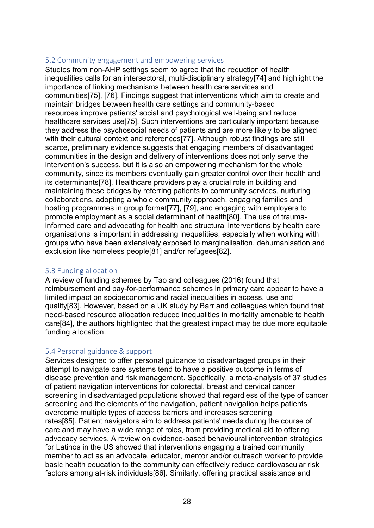#### <span id="page-27-0"></span>5.2 Community engagement and empowering services

Studies from non-AHP settings seem to agree that the reduction of health inequalities calls for an intersectoral, multi-disciplinary strategy[74] and highlight the importance of linking mechanisms between health care services and communities[75], [76]. Findings suggest that interventions which aim to create and maintain bridges between health care settings and community-based resources improve patients' social and psychological well-being and reduce healthcare services use[75]. Such interventions are particularly important because they address the psychosocial needs of patients and are more likely to be aligned with their cultural context and references[77]. Although robust findings are still scarce, preliminary evidence suggests that engaging members of disadvantaged communities in the design and delivery of interventions does not only serve the intervention's success, but it is also an empowering mechanism for the whole community, since its members eventually gain greater control over their health and its determinants[78]. Healthcare providers play a crucial role in building and maintaining these bridges by referring patients to community services, nurturing collaborations, adopting a whole community approach, engaging families and hosting programmes in group format[77], [79], and engaging with employers to promote employment as a social determinant of health[80]. The use of traumainformed care and advocating for health and structural interventions by health care organisations is important in addressing inequalities, especially when working with groups who have been extensively exposed to marginalisation, dehumanisation and exclusion like homeless people[81] and/or refugees[82].

#### <span id="page-27-1"></span>5.3 Funding allocation

A review of funding schemes by Tao and colleagues (2016) found that reimbursement and pay-for-performance schemes in primary care appear to have a limited impact on socioeconomic and racial inequalities in access, use and quality[83]. However, based on a UK study by Barr and colleagues which found that need-based resource allocation reduced inequalities in mortality amenable to health care[84], the authors highlighted that the greatest impact may be due more equitable funding allocation.

#### <span id="page-27-2"></span>5.4 Personal guidance & support

Services designed to offer personal guidance to disadvantaged groups in their attempt to navigate care systems tend to have a positive outcome in terms of disease prevention and risk management. Specifically, a meta-analysis of 37 studies of patient navigation interventions for colorectal, breast and cervical cancer screening in disadvantaged populations showed that regardless of the type of cancer screening and the elements of the navigation, patient navigation helps patients overcome multiple types of access barriers and increases screening rates[85]. Patient navigators aim to address patients' needs during the course of care and may have a wide range of roles, from providing medical aid to offering advocacy services. A review on evidence-based behavioural intervention strategies for Latinos in the US showed that interventions engaging a trained community member to act as an advocate, educator, mentor and/or outreach worker to provide basic health education to the community can effectively reduce cardiovascular risk factors among at-risk individuals[86]. Similarly, offering practical assistance and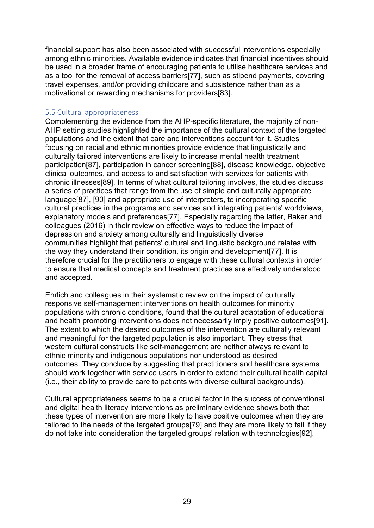financial support has also been associated with successful interventions especially among ethnic minorities. Available evidence indicates that financial incentives should be used in a broader frame of encouraging patients to utilise healthcare services and as a tool for the removal of access barriers[77], such as stipend payments, covering travel expenses, and/or providing childcare and subsistence rather than as a motivational or rewarding mechanisms for providers[83].

#### <span id="page-28-0"></span>5.5 Cultural appropriateness

Complementing the evidence from the AHP-specific literature, the majority of non-AHP setting studies highlighted the importance of the cultural context of the targeted populations and the extent that care and interventions account for it. Studies focusing on racial and ethnic minorities provide evidence that linguistically and culturally tailored interventions are likely to increase mental health treatment participation[87], participation in cancer screening[88], disease knowledge, objective clinical outcomes, and access to and satisfaction with services for patients with chronic illnesses[89]. In terms of what cultural tailoring involves, the studies discuss a series of practices that range from the use of simple and culturally appropriate language[87], [90] and appropriate use of interpreters, to incorporating specific cultural practices in the programs and services and integrating patients' worldviews, explanatory models and preferences[77]. Especially regarding the latter, Baker and colleagues (2016) in their review on effective ways to reduce the impact of depression and anxiety among culturally and linguistically diverse communities highlight that patients' cultural and linguistic background relates with the way they understand their condition, its origin and development[77]. It is therefore crucial for the practitioners to engage with these cultural contexts in order to ensure that medical concepts and treatment practices are effectively understood and accepted.

Ehrlich and colleagues in their systematic review on the impact of culturally responsive self-management interventions on health outcomes for minority populations with chronic conditions, found that the cultural adaptation of educational and health promoting interventions does not necessarily imply positive outcomes[91]. The extent to which the desired outcomes of the intervention are culturally relevant and meaningful for the targeted population is also important. They stress that western cultural constructs like self-management are neither always relevant to ethnic minority and indigenous populations nor understood as desired outcomes. They conclude by suggesting that practitioners and healthcare systems should work together with service users in order to extend their cultural health capital (i.e., their ability to provide care to patients with diverse cultural backgrounds).

Cultural appropriateness seems to be a crucial factor in the success of conventional and digital health literacy interventions as preliminary evidence shows both that these types of intervention are more likely to have positive outcomes when they are tailored to the needs of the targeted groups[79] and they are more likely to fail if they do not take into consideration the targeted groups' relation with technologies[92].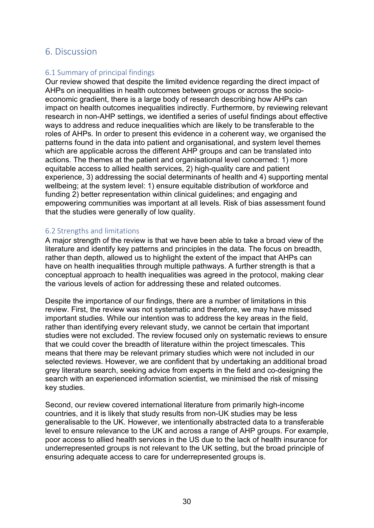### <span id="page-29-0"></span>6. Discussion

#### <span id="page-29-1"></span>6.1 Summary of principal findings

Our review showed that despite the limited evidence regarding the direct impact of AHPs on inequalities in health outcomes between groups or across the socioeconomic gradient, there is a large body of research describing how AHPs can impact on health outcomes inequalities indirectly. Furthermore, by reviewing relevant research in non-AHP settings, we identified a series of useful findings about effective ways to address and reduce inequalities which are likely to be transferable to the roles of AHPs. In order to present this evidence in a coherent way, we organised the patterns found in the data into patient and organisational, and system level themes which are applicable across the different AHP groups and can be translated into actions. The themes at the patient and organisational level concerned: 1) more equitable access to allied health services, 2) high-quality care and patient experience, 3) addressing the social determinants of health and 4) supporting mental wellbeing; at the system level: 1) ensure equitable distribution of workforce and funding 2) better representation within clinical guidelines; and engaging and empowering communities was important at all levels. Risk of bias assessment found that the studies were generally of low quality.

#### <span id="page-29-2"></span>6.2 Strengths and limitations

A major strength of the review is that we have been able to take a broad view of the literature and identify key patterns and principles in the data. The focus on breadth, rather than depth, allowed us to highlight the extent of the impact that AHPs can have on health inequalities through multiple pathways. A further strength is that a conceptual approach to health inequalities was agreed in the protocol, making clear the various levels of action for addressing these and related outcomes.

Despite the importance of our findings, there are a number of limitations in this review. First, the review was not systematic and therefore, we may have missed important studies. While our intention was to address the key areas in the field, rather than identifying every relevant study, we cannot be certain that important studies were not excluded. The review focused only on systematic reviews to ensure that we could cover the breadth of literature within the project timescales. This means that there may be relevant primary studies which were not included in our selected reviews. However, we are confident that by undertaking an additional broad grey literature search, seeking advice from experts in the field and co-designing the search with an experienced information scientist, we minimised the risk of missing key studies.

Second, our review covered international literature from primarily high-income countries, and it is likely that study results from non-UK studies may be less generalisable to the UK. However, we intentionally abstracted data to a transferable level to ensure relevance to the UK and across a range of AHP groups. For example, poor access to allied health services in the US due to the lack of health insurance for underrepresented groups is not relevant to the UK setting, but the broad principle of ensuring adequate access to care for underrepresented groups is.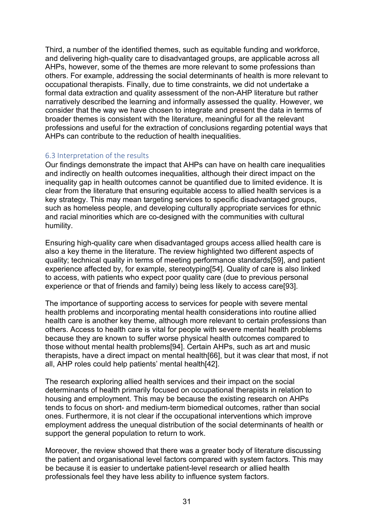Third, a number of the identified themes, such as equitable funding and workforce, and delivering high-quality care to disadvantaged groups, are applicable across all AHPs, however, some of the themes are more relevant to some professions than others. For example, addressing the social determinants of health is more relevant to occupational therapists. Finally, due to time constraints, we did not undertake a formal data extraction and quality assessment of the non-AHP literature but rather narratively described the learning and informally assessed the quality. However, we consider that the way we have chosen to integrate and present the data in terms of broader themes is consistent with the literature, meaningful for all the relevant professions and useful for the extraction of conclusions regarding potential ways that AHPs can contribute to the reduction of health inequalities.

#### <span id="page-30-0"></span>6.3 Interpretation of the results

Our findings demonstrate the impact that AHPs can have on health care inequalities and indirectly on health outcomes inequalities, although their direct impact on the inequality gap in health outcomes cannot be quantified due to limited evidence. It is clear from the literature that ensuring equitable access to allied health services is a key strategy. This may mean targeting services to specific disadvantaged groups, such as homeless people, and developing culturally appropriate services for ethnic and racial minorities which are co-designed with the communities with cultural humility.

Ensuring high-quality care when disadvantaged groups access allied health care is also a key theme in the literature. The review highlighted two different aspects of quality; technical quality in terms of meeting performance standards[59], and patient experience affected by, for example, stereotyping[54]. Quality of care is also linked to access, with patients who expect poor quality care (due to previous personal experience or that of friends and family) being less likely to access care[93].

The importance of supporting access to services for people with severe mental health problems and incorporating mental health considerations into routine allied health care is another key theme, although more relevant to certain professions than others. Access to health care is vital for people with severe mental health problems because they are known to suffer worse physical health outcomes compared to those without mental health problems[94]. Certain AHPs, such as art and music therapists, have a direct impact on mental health[66], but it was clear that most, if not all, AHP roles could help patients' mental health[42].

The research exploring allied health services and their impact on the social determinants of health primarily focused on occupational therapists in relation to housing and employment. This may be because the existing research on AHPs tends to focus on short- and medium-term biomedical outcomes, rather than social ones. Furthermore, it is not clear if the occupational interventions which improve employment address the unequal distribution of the social determinants of health or support the general population to return to work.

Moreover, the review showed that there was a greater body of literature discussing the patient and organisational level factors compared with system factors. This may be because it is easier to undertake patient-level research or allied health professionals feel they have less ability to influence system factors.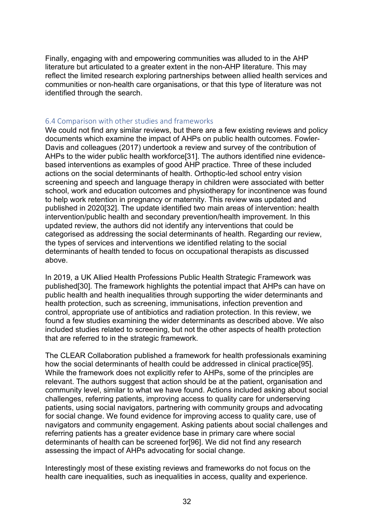Finally, engaging with and empowering communities was alluded to in the AHP literature but articulated to a greater extent in the non-AHP literature. This may reflect the limited research exploring partnerships between allied health services and communities or non-health care organisations, or that this type of literature was not identified through the search.

#### <span id="page-31-0"></span>6.4 Comparison with other studies and frameworks

We could not find any similar reviews, but there are a few existing reviews and policy documents which examine the impact of AHPs on public health outcomes. Fowler-Davis and colleagues (2017) undertook a review and survey of the contribution of AHPs to the wider public health workforce[31]. The authors identified nine evidencebased interventions as examples of good AHP practice. Three of these included actions on the social determinants of health. Orthoptic-led school entry vision screening and speech and language therapy in children were associated with better school, work and education outcomes and physiotherapy for incontinence was found to help work retention in pregnancy or maternity. This review was updated and published in 2020[32]. The update identified two main areas of intervention: health intervention/public health and secondary prevention/health improvement. In this updated review, the authors did not identify any interventions that could be categorised as addressing the social determinants of health. Regarding our review, the types of services and interventions we identified relating to the social determinants of health tended to focus on occupational therapists as discussed above.

In 2019, a UK Allied Health Professions Public Health Strategic Framework was published[30]. The framework highlights the potential impact that AHPs can have on public health and health inequalities through supporting the wider determinants and health protection, such as screening, immunisations, infection prevention and control, appropriate use of antibiotics and radiation protection. In this review, we found a few studies examining the wider determinants as described above. We also included studies related to screening, but not the other aspects of health protection that are referred to in the strategic framework.

The CLEAR Collaboration published a framework for health professionals examining how the social determinants of health could be addressed in clinical practice[95]. While the framework does not explicitly refer to AHPs, some of the principles are relevant. The authors suggest that action should be at the patient, organisation and community level, similar to what we have found. Actions included asking about social challenges, referring patients, improving access to quality care for underserving patients, using social navigators, partnering with community groups and advocating for social change. We found evidence for improving access to quality care, use of navigators and community engagement. Asking patients about social challenges and referring patients has a greater evidence base in primary care where social determinants of health can be screened for[96]. We did not find any research assessing the impact of AHPs advocating for social change.

Interestingly most of these existing reviews and frameworks do not focus on the health care inequalities, such as inequalities in access, quality and experience.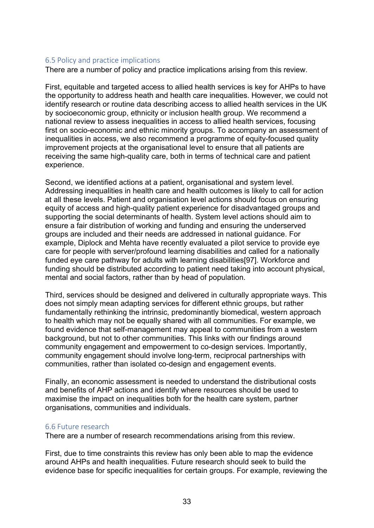#### <span id="page-32-0"></span>6.5 Policy and practice implications

There are a number of policy and practice implications arising from this review.

First, equitable and targeted access to allied health services is key for AHPs to have the opportunity to address heath and health care inequalities. However, we could not identify research or routine data describing access to allied health services in the UK by socioeconomic group, ethnicity or inclusion health group. We recommend a national review to assess inequalities in access to allied health services, focusing first on socio-economic and ethnic minority groups. To accompany an assessment of inequalities in access, we also recommend a programme of equity-focused quality improvement projects at the organisational level to ensure that all patients are receiving the same high-quality care, both in terms of technical care and patient experience.

Second, we identified actions at a patient, organisational and system level. Addressing inequalities in health care and health outcomes is likely to call for action at all these levels. Patient and organisation level actions should focus on ensuring equity of access and high-quality patient experience for disadvantaged groups and supporting the social determinants of health. System level actions should aim to ensure a fair distribution of working and funding and ensuring the underserved groups are included and their needs are addressed in national guidance. For example, Diplock and Mehta have recently evaluated a pilot service to provide eye care for people with server/profound learning disabilities and called for a nationally funded eye care pathway for adults with learning disabilities[97]. Workforce and funding should be distributed according to patient need taking into account physical, mental and social factors, rather than by head of population.

Third, services should be designed and delivered in culturally appropriate ways. This does not simply mean adapting services for different ethnic groups, but rather fundamentally rethinking the intrinsic, predominantly biomedical, western approach to health which may not be equally shared with all communities. For example, we found evidence that self-management may appeal to communities from a western background, but not to other communities. This links with our findings around community engagement and empowerment to co-design services. Importantly, community engagement should involve long-term, reciprocal partnerships with communities, rather than isolated co-design and engagement events.

Finally, an economic assessment is needed to understand the distributional costs and benefits of AHP actions and identify where resources should be used to maximise the impact on inequalities both for the health care system, partner organisations, communities and individuals.

#### <span id="page-32-1"></span>6.6 Future research

There are a number of research recommendations arising from this review.

First, due to time constraints this review has only been able to map the evidence around AHPs and health inequalities. Future research should seek to build the evidence base for specific inequalities for certain groups. For example, reviewing the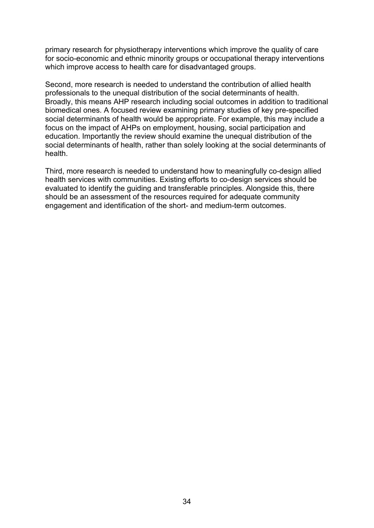primary research for physiotherapy interventions which improve the quality of care for socio-economic and ethnic minority groups or occupational therapy interventions which improve access to health care for disadvantaged groups.

Second, more research is needed to understand the contribution of allied health professionals to the unequal distribution of the social determinants of health. Broadly, this means AHP research including social outcomes in addition to traditional biomedical ones. A focused review examining primary studies of key pre-specified social determinants of health would be appropriate. For example, this may include a focus on the impact of AHPs on employment, housing, social participation and education. Importantly the review should examine the unequal distribution of the social determinants of health, rather than solely looking at the social determinants of health.

Third, more research is needed to understand how to meaningfully co-design allied health services with communities. Existing efforts to co-design services should be evaluated to identify the guiding and transferable principles. Alongside this, there should be an assessment of the resources required for adequate community engagement and identification of the short- and medium-term outcomes.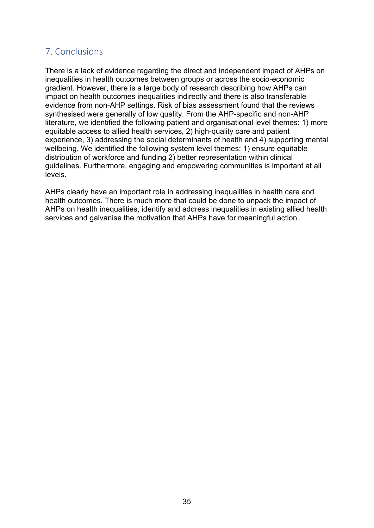## <span id="page-34-0"></span>7. Conclusions

There is a lack of evidence regarding the direct and independent impact of AHPs on inequalities in health outcomes between groups or across the socio-economic gradient. However, there is a large body of research describing how AHPs can impact on health outcomes inequalities indirectly and there is also transferable evidence from non-AHP settings. Risk of bias assessment found that the reviews synthesised were generally of low quality. From the AHP-specific and non-AHP literature, we identified the following patient and organisational level themes: 1) more equitable access to allied health services, 2) high-quality care and patient experience, 3) addressing the social determinants of health and 4) supporting mental wellbeing. We identified the following system level themes: 1) ensure equitable distribution of workforce and funding 2) better representation within clinical guidelines. Furthermore, engaging and empowering communities is important at all levels.

AHPs clearly have an important role in addressing inequalities in health care and health outcomes. There is much more that could be done to unpack the impact of AHPs on health inequalities, identify and address inequalities in existing allied health services and galvanise the motivation that AHPs have for meaningful action.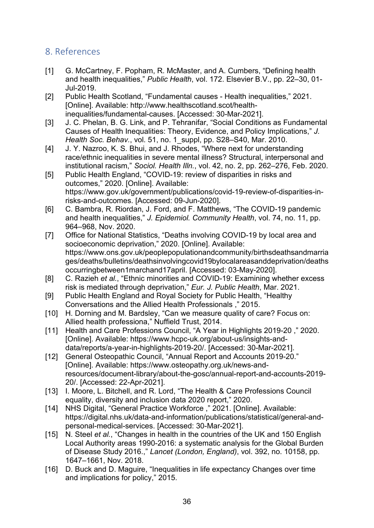## <span id="page-35-0"></span>8. References

- [1] G. McCartney, F. Popham, R. McMaster, and A. Cumbers, "Defining health and health inequalities," *Public Health*, vol. 172. Elsevier B.V., pp. 22–30, 01- Jul-2019.
- [2] Public Health Scotland, "Fundamental causes Health inequalities," 2021. [Online]. Available: http://www.healthscotland.scot/healthinequalities/fundamental-causes. [Accessed: 30-Mar-2021].
- [3] J. C. Phelan, B. G. Link, and P. Tehranifar, "Social Conditions as Fundamental Causes of Health Inequalities: Theory, Evidence, and Policy Implications," *J. Health Soc. Behav.*, vol. 51, no. 1\_suppl, pp. S28–S40, Mar. 2010.
- [4] J. Y. Nazroo, K. S. Bhui, and J. Rhodes, "Where next for understanding race/ethnic inequalities in severe mental illness? Structural, interpersonal and institutional racism," *Sociol. Health Illn.*, vol. 42, no. 2, pp. 262–276, Feb. 2020.
- [5] Public Health England, "COVID-19: review of disparities in risks and outcomes," 2020. [Online]. Available: https://www.gov.uk/government/publications/covid-19-review-of-disparities-inrisks-and-outcomes. [Accessed: 09-Jun-2020].
- [6] C. Bambra, R. Riordan, J. Ford, and F. Matthews, "The COVID-19 pandemic and health inequalities," *J. Epidemiol. Community Health*, vol. 74, no. 11, pp. 964–968, Nov. 2020.
- [7] Office for National Statistics, "Deaths involving COVID-19 by local area and socioeconomic deprivation," 2020. [Online]. Available: https://www.ons.gov.uk/peoplepopulationandcommunity/birthsdeathsandmarria ges/deaths/bulletins/deathsinvolvingcovid19bylocalareasanddeprivation/deaths occurringbetween1marchand17april. [Accessed: 03-May-2020].
- [8] C. Razieh *et al.*, "Ethnic minorities and COVID-19: Examining whether excess risk is mediated through deprivation," *Eur. J. Public Health*, Mar. 2021.
- [9] Public Health England and Royal Society for Public Health, "Healthy Conversations and the Allied Health Professionals ," 2015.
- [10] H. Dorning and M. Bardsley, "Can we measure quality of care? Focus on: Allied health professiona," Nuffield Trust, 2014.
- [11] Health and Care Professions Council, "A Year in Highlights 2019-20 ," 2020. [Online]. Available: https://www.hcpc-uk.org/about-us/insights-anddata/reports/a-year-in-highlights-2019-20/. [Accessed: 30-Mar-2021].
- [12] General Osteopathic Council, "Annual Report and Accounts 2019-20." [Online]. Available: https://www.osteopathy.org.uk/news-andresources/document-library/about-the-gosc/annual-report-and-accounts-2019- 20/. [Accessed: 22-Apr-2021].
- [13] I. Moore, L. Bitchell, and R. Lord, "The Health & Care Professions Council equality, diversity and inclusion data 2020 report," 2020.
- [14] NHS Digital, "General Practice Workforce ," 2021. [Online]. Available: https://digital.nhs.uk/data-and-information/publications/statistical/general-andpersonal-medical-services. [Accessed: 30-Mar-2021].
- [15] N. Steel *et al.*, "Changes in health in the countries of the UK and 150 English Local Authority areas 1990-2016: a systematic analysis for the Global Burden of Disease Study 2016.," *Lancet (London, England)*, vol. 392, no. 10158, pp. 1647–1661, Nov. 2018.
- [16] D. Buck and D. Maguire, "Inequalities in life expectancy Changes over time and implications for policy," 2015.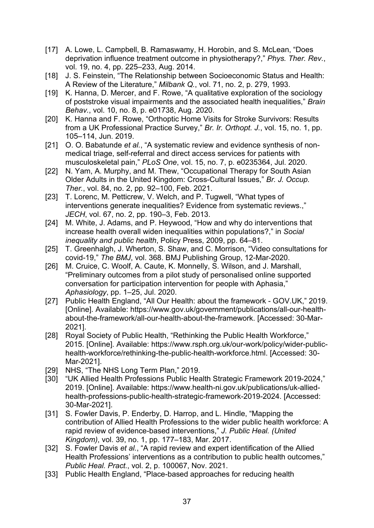- [17] A. Lowe, L. Campbell, B. Ramaswamy, H. Horobin, and S. McLean, "Does deprivation influence treatment outcome in physiotherapy?," *Phys. Ther. Rev.*, vol. 19, no. 4, pp. 225–233, Aug. 2014.
- [18] J. S. Feinstein, "The Relationship between Socioeconomic Status and Health: A Review of the Literature," *Milbank Q.*, vol. 71, no. 2, p. 279, 1993.
- [19] K. Hanna, D. Mercer, and F. Rowe, "A qualitative exploration of the sociology of poststroke visual impairments and the associated health inequalities," *Brain Behav.*, vol. 10, no. 8, p. e01738, Aug. 2020.
- [20] K. Hanna and F. Rowe, "Orthoptic Home Visits for Stroke Survivors: Results from a UK Professional Practice Survey," *Br. Ir. Orthopt. J.*, vol. 15, no. 1, pp. 105–114, Jun. 2019.
- [21] O. O. Babatunde *et al.*, "A systematic review and evidence synthesis of nonmedical triage, self-referral and direct access services for patients with musculoskeletal pain," *PLoS One*, vol. 15, no. 7, p. e0235364, Jul. 2020.
- [22] N. Yam, A. Murphy, and M. Thew, "Occupational Therapy for South Asian Older Adults in the United Kingdom: Cross-Cultural Issues," *Br. J. Occup. Ther.*, vol. 84, no. 2, pp. 92–100, Feb. 2021.
- [23] T. Lorenc, M. Petticrew, V. Welch, and P. Tugwell, "What types of interventions generate inequalities? Evidence from systematic reviews.," *JECH*, vol. 67, no. 2, pp. 190–3, Feb. 2013.
- [24] M. White, J. Adams, and P. Heywood, "How and why do interventions that increase health overall widen inequalities within populations?," in *Social inequality and public health*, Policy Press, 2009, pp. 64–81.
- [25] T. Greenhalgh, J. Wherton, S. Shaw, and C. Morrison, "Video consultations for covid-19," *The BMJ*, vol. 368. BMJ Publishing Group, 12-Mar-2020.
- [26] M. Cruice, C. Woolf, A. Caute, K. Monnelly, S. Wilson, and J. Marshall, "Preliminary outcomes from a pilot study of personalised online supported conversation for participation intervention for people with Aphasia," *Aphasiology*, pp. 1–25, Jul. 2020.
- [27] Public Health England, "All Our Health: about the framework GOV.UK," 2019. [Online]. Available: https://www.gov.uk/government/publications/all-our-healthabout-the-framework/all-our-health-about-the-framework. [Accessed: 30-Mar-2021].
- [28] Royal Society of Public Health, "Rethinking the Public Health Workforce," 2015. [Online]. Available: https://www.rsph.org.uk/our-work/policy/wider-publichealth-workforce/rethinking-the-public-health-workforce.html. [Accessed: 30- Mar-2021].
- [29] NHS, "The NHS Long Term Plan," 2019.
- [30] "UK Allied Health Professions Public Health Strategic Framework 2019-2024," 2019. [Online]. Available: https://www.health-ni.gov.uk/publications/uk-alliedhealth-professions-public-health-strategic-framework-2019-2024. [Accessed: 30-Mar-2021].
- [31] S. Fowler Davis, P. Enderby, D. Harrop, and L. Hindle, "Mapping the contribution of Allied Health Professions to the wider public health workforce: A rapid review of evidence-based interventions," *J. Public Heal. (United Kingdom)*, vol. 39, no. 1, pp. 177–183, Mar. 2017.
- [32] S. Fowler Davis *et al.*, "A rapid review and expert identification of the Allied Health Professions' interventions as a contribution to public health outcomes," *Public Heal. Pract.*, vol. 2, p. 100067, Nov. 2021.
- [33] Public Health England, "Place-based approaches for reducing health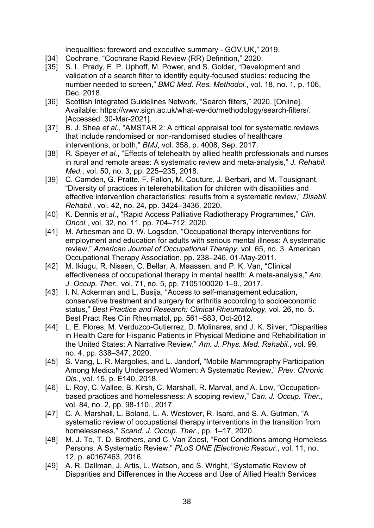inequalities: foreword and executive summary - GOV.UK," 2019.

- [34] Cochrane, "Cochrane Rapid Review (RR) Definition," 2020.
- [35] S. L. Prady, E. P. Uphoff, M. Power, and S. Golder, "Development and validation of a search filter to identify equity-focused studies: reducing the number needed to screen," *BMC Med. Res. Methodol.*, vol. 18, no. 1, p. 106, Dec. 2018.
- [36] Scottish Integrated Guidelines Network, "Search filters," 2020. [Online]. Available: https://www.sign.ac.uk/what-we-do/methodology/search-filters/. [Accessed: 30-Mar-2021].
- [37] B. J. Shea *et al.*, "AMSTAR 2: A critical appraisal tool for systematic reviews that include randomised or non-randomised studies of healthcare interventions, or both," *BMJ*, vol. 358, p. 4008, Sep. 2017.
- [38] R. Speyer *et al.*, "Effects of telehealth by allied health professionals and nurses in rural and remote areas: A systematic review and meta-analysis," *J. Rehabil. Med.*, vol. 50, no. 3, pp. 225–235, 2018.
- [39] C. Camden, G. Pratte, F. Fallon, M. Couture, J. Berbari, and M. Tousignant, "Diversity of practices in telerehabilitation for children with disabilities and effective intervention characteristics: results from a systematic review," *Disabil. Rehabil.*, vol. 42, no. 24, pp. 3424–3436, 2020.
- [40] K. Dennis *et al.*, "Rapid Access Palliative Radiotherapy Programmes," *Clin. Oncol.*, vol. 32, no. 11, pp. 704–712, 2020.
- [41] M. Arbesman and D. W. Logsdon, "Occupational therapy interventions for employment and education for adults with serious mental illness: A systematic review," *American Journal of Occupational Therapy*, vol. 65, no. 3. American Occupational Therapy Association, pp. 238–246, 01-May-2011.
- [42] M. Ikiugu, R. Nissen, C. Bellar, A. Maassen, and P. K. Van, "Clinical effectiveness of occupational therapy in mental health: A meta-analysis," *Am. J. Occup. Ther.*, vol. 71, no. 5, pp. 7105100020 1–9., 2017.
- [43] I. N. Ackerman and L. Busija, "Access to self-management education, conservative treatment and surgery for arthritis according to socioeconomic status," *Best Practice and Research: Clinical Rheumatology*, vol. 26, no. 5. Best Pract Res Clin Rheumatol, pp. 561–583, Oct-2012.
- [44] L. E. Flores, M. Verduzco-Gutierrez, D. Molinares, and J. K. Silver, "Disparities" in Health Care for Hispanic Patients in Physical Medicine and Rehabilitation in the United States: A Narrative Review," *Am. J. Phys. Med. Rehabil.*, vol. 99, no. 4, pp. 338–347, 2020.
- [45] S. Vang, L. R. Margolies, and L. Jandorf, "Mobile Mammography Participation Among Medically Underserved Women: A Systematic Review," *Prev. Chronic Dis.*, vol. 15, p. E140, 2018.
- [46] L. Roy, C. Vallee, B. Kirsh, C. Marshall, R. Marval, and A. Low, "Occupationbased practices and homelessness: A scoping review," *Can. J. Occup. Ther.*, vol. 84, no. 2, pp. 98-110., 2017.
- [47] C. A. Marshall, L. Boland, L. A. Westover, R. Isard, and S. A. Gutman, "A systematic review of occupational therapy interventions in the transition from homelessness," *Scand. J. Occup. Ther.*, pp. 1–17, 2020.
- [48] M. J. To, T. D. Brothers, and C. Van Zoost, "Foot Conditions among Homeless Persons: A Systematic Review," *PLoS ONE [Electronic Resour.*, vol. 11, no. 12, p. e0167463, 2016.
- [49] A. R. Dallman, J. Artis, L. Watson, and S. Wright, "Systematic Review of Disparities and Differences in the Access and Use of Allied Health Services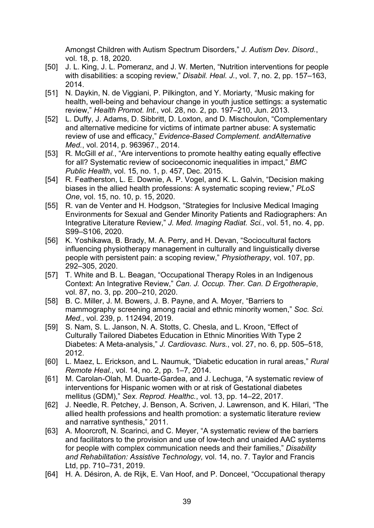Amongst Children with Autism Spectrum Disorders," *J. Autism Dev. Disord.*, vol. 18, p. 18, 2020.

- [50] J. L. King, J. L. Pomeranz, and J. W. Merten, "Nutrition interventions for people with disabilities: a scoping review," *Disabil. Heal. J.*, vol. 7, no. 2, pp. 157–163, 2014.
- [51] N. Daykin, N. de Viggiani, P. Pilkington, and Y. Moriarty, "Music making for health, well-being and behaviour change in youth justice settings: a systematic review," *Health Promot. Int.*, vol. 28, no. 2, pp. 197–210, Jun. 2013.
- [52] L. Duffy, J. Adams, D. Sibbritt, D. Loxton, and D. Mischoulon, "Complementary and alternative medicine for victims of intimate partner abuse: A systematic review of use and efficacy," *Evidence-Based Complement. andAlternative Med.*, vol. 2014, p. 963967., 2014.
- [53] R. McGill *et al.*, "Are interventions to promote healthy eating equally effective for all? Systematic review of socioeconomic inequalities in impact," *BMC Public Health*, vol. 15, no. 1, p. 457, Dec. 2015.
- [54] R. Featherston, L. E. Downie, A. P. Vogel, and K. L. Galvin, "Decision making biases in the allied health professions: A systematic scoping review," *PLoS One*, vol. 15, no. 10, p. 15, 2020.
- [55] R. van de Venter and H. Hodgson, "Strategies for Inclusive Medical Imaging Environments for Sexual and Gender Minority Patients and Radiographers: An Integrative Literature Review," *J. Med. Imaging Radiat. Sci.*, vol. 51, no. 4, pp. S99–S106, 2020.
- [56] K. Yoshikawa, B. Brady, M. A. Perry, and H. Devan, "Sociocultural factors influencing physiotherapy management in culturally and linguistically diverse people with persistent pain: a scoping review," *Physiotherapy*, vol. 107, pp. 292–305, 2020.
- [57] T. White and B. L. Beagan, "Occupational Therapy Roles in an Indigenous Context: An Integrative Review," *Can. J. Occup. Ther. Can. D Ergotherapie*, vol. 87, no. 3, pp. 200–210, 2020.
- [58] B. C. Miller, J. M. Bowers, J. B. Payne, and A. Moyer, "Barriers to mammography screening among racial and ethnic minority women," *Soc. Sci. Med.*, vol. 239, p. 112494, 2019.
- [59] S. Nam, S. L. Janson, N. A. Stotts, C. Chesla, and L. Kroon, "Effect of Culturally Tailored Diabetes Education in Ethnic Minorities With Type 2 Diabetes: A Meta-analysis," *J. Cardiovasc. Nurs.*, vol. 27, no. 6, pp. 505–518, 2012.
- [60] L. Maez, L. Erickson, and L. Naumuk, "Diabetic education in rural areas," *Rural Remote Heal.*, vol. 14, no. 2, pp. 1–7, 2014.
- [61] M. Carolan-Olah, M. Duarte-Gardea, and J. Lechuga, "A systematic review of interventions for Hispanic women with or at risk of Gestational diabetes mellitus (GDM)," *Sex. Reprod. Healthc.*, vol. 13, pp. 14–22, 2017.
- [62] J. Needle, R. Petchey, J. Benson, A. Scriven, J. Lawrenson, and K. Hilari, "The allied health professions and health promotion: a systematic literature review and narrative synthesis," 2011.
- [63] A. Moorcroft, N. Scarinci, and C. Meyer, "A systematic review of the barriers and facilitators to the provision and use of low-tech and unaided AAC systems for people with complex communication needs and their families," *Disability and Rehabilitation: Assistive Technology*, vol. 14, no. 7. Taylor and Francis Ltd, pp. 710–731, 2019.
- [64] H. A. Désiron, A. de Rijk, E. Van Hoof, and P. Donceel, "Occupational therapy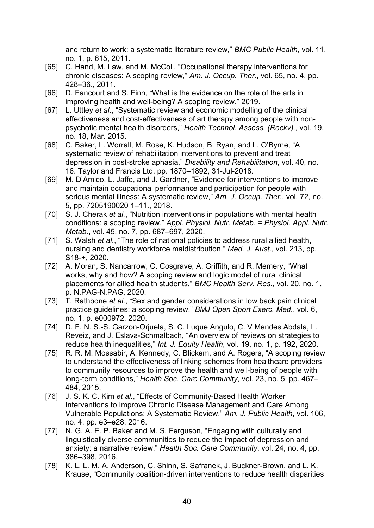and return to work: a systematic literature review," *BMC Public Health*, vol. 11, no. 1, p. 615, 2011.

- [65] C. Hand, M. Law, and M. McColl, "Occupational therapy interventions for chronic diseases: A scoping review," *Am. J. Occup. Ther.*, vol. 65, no. 4, pp. 428–36., 2011.
- [66] D. Fancourt and S. Finn, "What is the evidence on the role of the arts in improving health and well-being? A scoping review," 2019.
- [67] L. Uttley *et al.*, "Systematic review and economic modelling of the clinical effectiveness and cost-effectiveness of art therapy among people with nonpsychotic mental health disorders," *Health Technol. Assess. (Rockv).*, vol. 19, no. 18, Mar. 2015.
- [68] C. Baker, L. Worrall, M. Rose, K. Hudson, B. Ryan, and L. O'Byrne, "A systematic review of rehabilitation interventions to prevent and treat depression in post-stroke aphasia," *Disability and Rehabilitation*, vol. 40, no. 16. Taylor and Francis Ltd, pp. 1870–1892, 31-Jul-2018.
- [69] M. D'Amico, L. Jaffe, and J. Gardner, "Evidence for interventions to improve and maintain occupational performance and participation for people with serious mental illness: A systematic review," *Am. J. Occup. Ther.*, vol. 72, no. 5, pp. 7205190020 1–11., 2018.
- [70] S. J. Cherak *et al.*, "Nutrition interventions in populations with mental health conditions: a scoping review," *Appl. Physiol. Nutr. Metab. = Physiol. Appl. Nutr. Metab.*, vol. 45, no. 7, pp. 687–697, 2020.
- [71] S. Walsh *et al.*, "The role of national policies to address rural allied health, nursing and dentistry workforce maldistribution," *Med. J. Aust.*, vol. 213, pp. S18-+, 2020.
- [72] A. Moran, S. Nancarrow, C. Cosgrave, A. Griffith, and R. Memery, "What works, why and how? A scoping review and logic model of rural clinical placements for allied health students," *BMC Health Serv. Res.*, vol. 20, no. 1, p. N.PAG-N.PAG, 2020.
- [73] T. Rathbone *et al.*, "Sex and gender considerations in low back pain clinical practice guidelines: a scoping review," *BMJ Open Sport Exerc. Med.*, vol. 6, no. 1, p. e000972, 2020.
- [74] D. F. N. S.-S. Garzon-Orjuela, S. C. Luque Angulo, C. V Mendes Abdala, L. Reveiz, and J. Eslava-Schmalbach, "An overview of reviews on strategies to reduce health inequalities," *Int. J. Equity Health*, vol. 19, no. 1, p. 192, 2020.
- [75] R. R. M. Mossabir, A. Kennedy, C. Blickem, and A. Rogers, "A scoping review to understand the effectiveness of linking schemes from healthcare providers to community resources to improve the health and well-being of people with long-term conditions," *Health Soc. Care Community*, vol. 23, no. 5, pp. 467– 484, 2015.
- [76] J. S. K. C. Kim *et al.*, "Effects of Community-Based Health Worker Interventions to Improve Chronic Disease Management and Care Among Vulnerable Populations: A Systematic Review," *Am. J. Public Health*, vol. 106, no. 4, pp. e3–e28, 2016.
- [77] N. G. A. E. P. Baker and M. S. Ferguson, "Engaging with culturally and linguistically diverse communities to reduce the impact of depression and anxiety: a narrative review," *Health Soc. Care Community*, vol. 24, no. 4, pp. 386–398, 2016.
- [78] K. L. L. M. A. Anderson, C. Shinn, S. Safranek, J. Buckner-Brown, and L. K. Krause, "Community coalition-driven interventions to reduce health disparities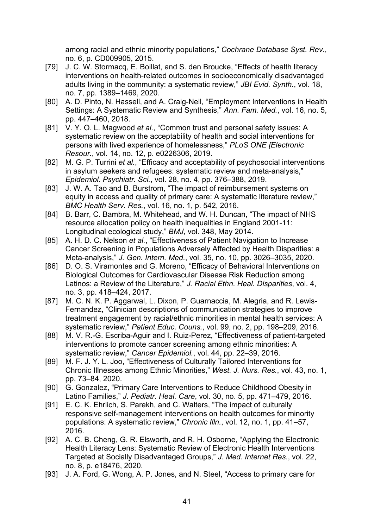among racial and ethnic minority populations," *Cochrane Database Syst. Rev.*, no. 6, p. CD009905, 2015.

- [79] J. C. W. Stormacq, E. Boillat, and S. den Broucke, "Effects of health literacy interventions on health-related outcomes in socioeconomically disadvantaged adults living in the community: a systematic review," *JBI Evid. Synth.*, vol. 18, no. 7, pp. 1389–1469, 2020.
- [80] A. D. Pinto, N. Hassell, and A. Craig-Neil, "Employment Interventions in Health Settings: A Systematic Review and Synthesis," *Ann. Fam. Med.*, vol. 16, no. 5, pp. 447–460, 2018.
- [81] V. Y. O. L. Magwood *et al.*, "Common trust and personal safety issues: A systematic review on the acceptability of health and social interventions for persons with lived experience of homelessness," *PLoS ONE [Electronic Resour.*, vol. 14, no. 12, p. e0226306, 2019.
- [82] M. G. P. Turrini *et al.*, "Efficacy and acceptability of psychosocial interventions in asylum seekers and refugees: systematic review and meta-analysis," *Epidemiol. Psychiatr. Sci.*, vol. 28, no. 4, pp. 376–388, 2019.
- [83] J. W. A. Tao and B. Burstrom, "The impact of reimbursement systems on equity in access and quality of primary care: A systematic literature review," *BMC Health Serv. Res.*, vol. 16, no. 1, p. 542, 2016.
- [84] B. Barr, C. Bambra, M. Whitehead, and W. H. Duncan, "The impact of NHS resource allocation policy on health inequalities in England 2001-11: Longitudinal ecological study," *BMJ*, vol. 348, May 2014.
- [85] A. H. D. C. Nelson *et al.*, "Effectiveness of Patient Navigation to Increase Cancer Screening in Populations Adversely Affected by Health Disparities: a Meta-analysis," *J. Gen. Intern. Med.*, vol. 35, no. 10, pp. 3026–3035, 2020.
- [86] D. O. S. Viramontes and G. Moreno, "Efficacy of Behavioral Interventions on Biological Outcomes for Cardiovascular Disease Risk Reduction among Latinos: a Review of the Literature," *J. Racial Ethn. Heal. Disparities*, vol. 4, no. 3, pp. 418–424, 2017.
- [87] M. C. N. K. P. Aggarwal, L. Dixon, P. Guarnaccia, M. Alegria, and R. Lewis-Fernandez, "Clinician descriptions of communication strategies to improve treatment engagement by racial/ethnic minorities in mental health services: A systematic review," *Patient Educ. Couns.*, vol. 99, no. 2, pp. 198–209, 2016.
- [88] M. V. R.-G. Escriba-Aguir and I. Ruiz-Perez, "Effectiveness of patient-targeted interventions to promote cancer screening among ethnic minorities: A systematic review," *Cancer Epidemiol.*, vol. 44, pp. 22–39, 2016.
- [89] M. F. J. Y. L. Joo, "Effectiveness of Culturally Tailored Interventions for Chronic Illnesses among Ethnic Minorities," *West. J. Nurs. Res.*, vol. 43, no. 1, pp. 73–84, 2020.
- [90] G. Gonzalez, "Primary Care Interventions to Reduce Childhood Obesity in Latino Families," *J. Pediatr. Heal. Care*, vol. 30, no. 5, pp. 471–479, 2016.
- [91] E. C. K. Ehrlich, S. Parekh, and C. Walters, "The impact of culturally responsive self-management interventions on health outcomes for minority populations: A systematic review," *Chronic Illn.*, vol. 12, no. 1, pp. 41–57, 2016.
- [92] A. C. B. Cheng, G. R. Elsworth, and R. H. Osborne, "Applying the Electronic Health Literacy Lens: Systematic Review of Electronic Health Interventions Targeted at Socially Disadvantaged Groups," *J. Med. Internet Res.*, vol. 22, no. 8, p. e18476, 2020.
- [93] J. A. Ford, G. Wong, A. P. Jones, and N. Steel, "Access to primary care for